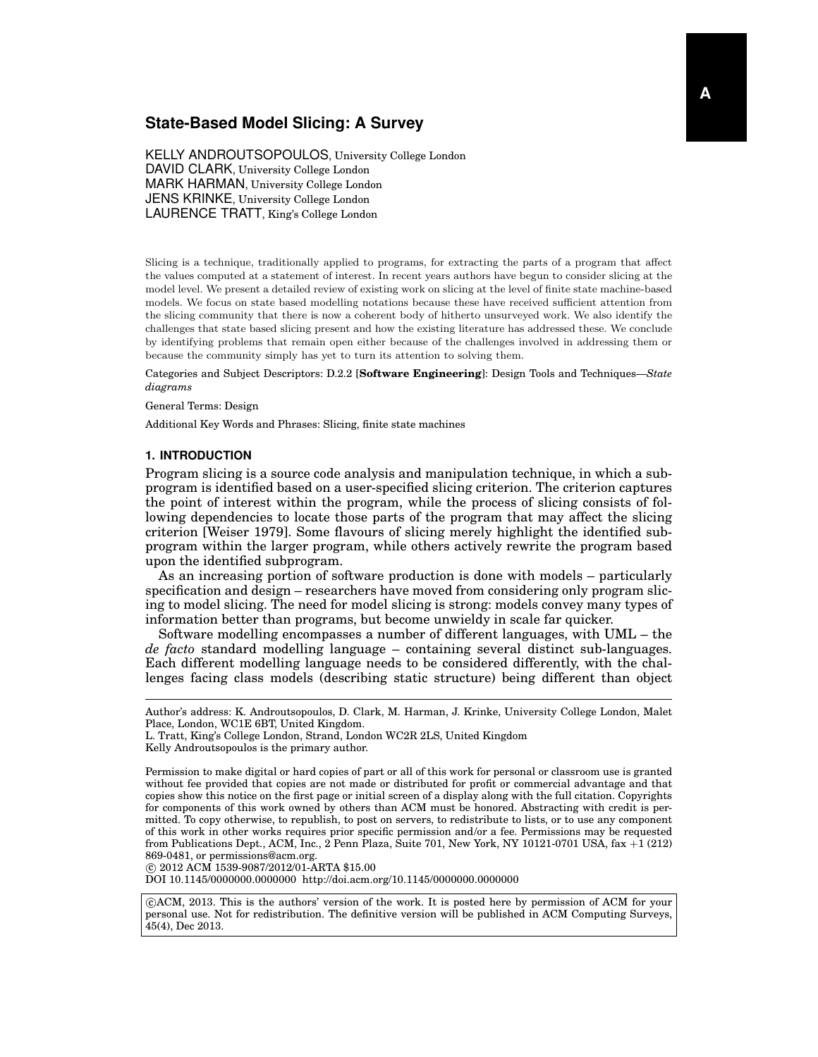# **State-Based Model Slicing: A Survey**

KELLY ANDROUTSOPOULOS, University College London DAVID CLARK, University College London MARK HARMAN, University College London JENS KRINKE, University College London LAURENCE TRATT, King's College London

Slicing is a technique, traditionally applied to programs, for extracting the parts of a program that affect the values computed at a statement of interest. In recent years authors have begun to consider slicing at the model level. We present a detailed review of existing work on slicing at the level of finite state machine-based models. We focus on state based modelling notations because these have received sufficient attention from the slicing community that there is now a coherent body of hitherto unsurveyed work. We also identify the challenges that state based slicing present and how the existing literature has addressed these. We conclude by identifying problems that remain open either because of the challenges involved in addressing them or because the community simply has yet to turn its attention to solving them.

Categories and Subject Descriptors: D.2.2 [**Software Engineering**]: Design Tools and Techniques—*State diagrams*

#### General Terms: Design

Additional Key Words and Phrases: Slicing, finite state machines

### **1. INTRODUCTION**

Program slicing is a source code analysis and manipulation technique, in which a subprogram is identified based on a user-specified slicing criterion. The criterion captures the point of interest within the program, while the process of slicing consists of following dependencies to locate those parts of the program that may affect the slicing criterion [Weiser 1979]. Some flavours of slicing merely highlight the identified subprogram within the larger program, while others actively rewrite the program based upon the identified subprogram.

As an increasing portion of software production is done with models – particularly specification and design – researchers have moved from considering only program slicing to model slicing. The need for model slicing is strong: models convey many types of information better than programs, but become unwieldy in scale far quicker.

Software modelling encompasses a number of different languages, with UML – the *de facto* standard modelling language – containing several distinct sub-languages. Each different modelling language needs to be considered differently, with the challenges facing class models (describing static structure) being different than object

c 2012 ACM 1539-9087/2012/01-ARTA \$15.00

DOI 10.1145/0000000.0000000 http://doi.acm.org/10.1145/0000000.0000000

 c ACM, 2013. This is the authors' version of the work. It is posted here by permission of ACM for your personal use. Not for redistribution. The definitive version will be published in ACM Computing Surveys, 45(4), Dec 2013.

Author's address: K. Androutsopoulos, D. Clark, M. Harman, J. Krinke, University College London, Malet Place, London, WC1E 6BT, United Kingdom.

L. Tratt, King's College London, Strand, London WC2R 2LS, United Kingdom

Kelly Androutsopoulos is the primary author.

Permission to make digital or hard copies of part or all of this work for personal or classroom use is granted without fee provided that copies are not made or distributed for profit or commercial advantage and that copies show this notice on the first page or initial screen of a display along with the full citation. Copyrights for components of this work owned by others than ACM must be honored. Abstracting with credit is permitted. To copy otherwise, to republish, to post on servers, to redistribute to lists, or to use any component of this work in other works requires prior specific permission and/or a fee. Permissions may be requested from Publications Dept., ACM, Inc., 2 Penn Plaza, Suite 701, New York, NY 10121-0701 USA, fax +1 (212) 869-0481, or permissions@acm.org.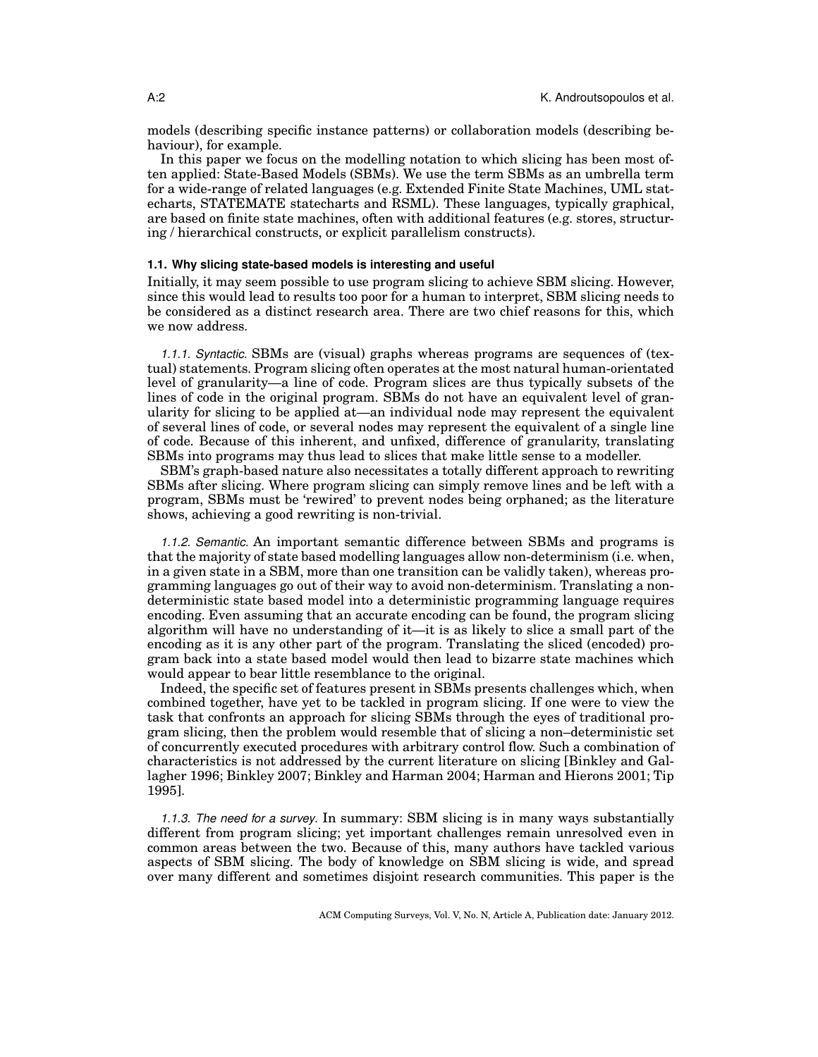models (describing specific instance patterns) or collaboration models (describing behaviour), for example.

In this paper we focus on the modelling notation to which slicing has been most often applied: State-Based Models (SBMs). We use the term SBMs as an umbrella term for a wide-range of related languages (e.g. Extended Finite State Machines, UML statecharts, STATEMATE statecharts and RSML). These languages, typically graphical, are based on finite state machines, often with additional features (e.g. stores, structuring / hierarchical constructs, or explicit parallelism constructs).

## **1.1. Why slicing state-based models is interesting and useful**

Initially, it may seem possible to use program slicing to achieve SBM slicing. However, since this would lead to results too poor for a human to interpret, SBM slicing needs to be considered as a distinct research area. There are two chief reasons for this, which we now address.

*1.1.1. Syntactic.* SBMs are (visual) graphs whereas programs are sequences of (textual) statements. Program slicing often operates at the most natural human-orientated level of granularity—a line of code. Program slices are thus typically subsets of the lines of code in the original program. SBMs do not have an equivalent level of granularity for slicing to be applied at—an individual node may represent the equivalent of several lines of code, or several nodes may represent the equivalent of a single line of code. Because of this inherent, and unfixed, difference of granularity, translating SBMs into programs may thus lead to slices that make little sense to a modeller.

SBM's graph-based nature also necessitates a totally different approach to rewriting SBMs after slicing. Where program slicing can simply remove lines and be left with a program, SBMs must be 'rewired' to prevent nodes being orphaned; as the literature shows, achieving a good rewriting is non-trivial.

*1.1.2. Semantic.* An important semantic difference between SBMs and programs is that the majority of state based modelling languages allow non-determinism (i.e. when, in a given state in a SBM, more than one transition can be validly taken), whereas programming languages go out of their way to avoid non-determinism. Translating a nondeterministic state based model into a deterministic programming language requires encoding. Even assuming that an accurate encoding can be found, the program slicing algorithm will have no understanding of it—it is as likely to slice a small part of the encoding as it is any other part of the program. Translating the sliced (encoded) program back into a state based model would then lead to bizarre state machines which would appear to bear little resemblance to the original.

Indeed, the specific set of features present in SBMs presents challenges which, when combined together, have yet to be tackled in program slicing. If one were to view the task that confronts an approach for slicing SBMs through the eyes of traditional program slicing, then the problem would resemble that of slicing a non–deterministic set of concurrently executed procedures with arbitrary control flow. Such a combination of characteristics is not addressed by the current literature on slicing [Binkley and Gallagher 1996; Binkley 2007; Binkley and Harman 2004; Harman and Hierons 2001; Tip 1995].

*1.1.3. The need for a survey.* In summary: SBM slicing is in many ways substantially different from program slicing; yet important challenges remain unresolved even in common areas between the two. Because of this, many authors have tackled various aspects of SBM slicing. The body of knowledge on SBM slicing is wide, and spread over many different and sometimes disjoint research communities. This paper is the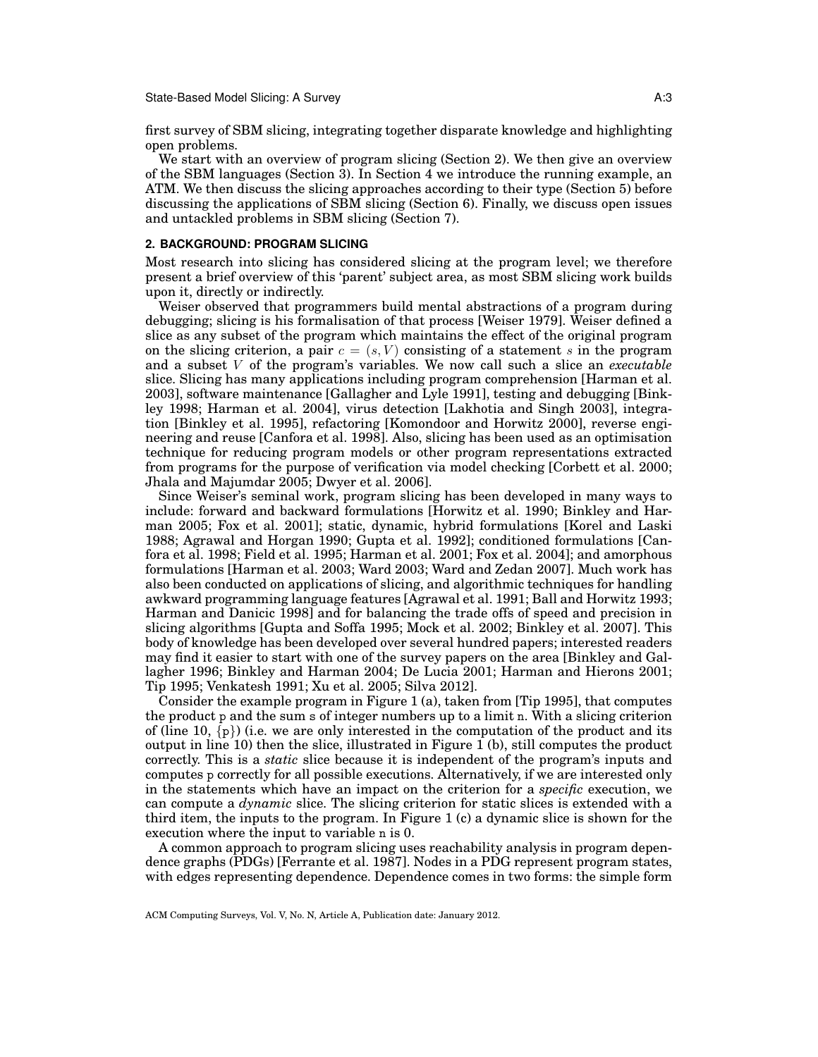first survey of SBM slicing, integrating together disparate knowledge and highlighting open problems.

We start with an overview of program slicing (Section 2). We then give an overview of the SBM languages (Section 3). In Section 4 we introduce the running example, an ATM. We then discuss the slicing approaches according to their type (Section 5) before discussing the applications of SBM slicing (Section 6). Finally, we discuss open issues and untackled problems in SBM slicing (Section 7).

### **2. BACKGROUND: PROGRAM SLICING**

Most research into slicing has considered slicing at the program level; we therefore present a brief overview of this 'parent' subject area, as most SBM slicing work builds upon it, directly or indirectly.

Weiser observed that programmers build mental abstractions of a program during debugging; slicing is his formalisation of that process [Weiser 1979]. Weiser defined a slice as any subset of the program which maintains the effect of the original program on the slicing criterion, a pair  $c = (s, V)$  consisting of a statement s in the program and a subset V of the program's variables. We now call such a slice an *executable* slice. Slicing has many applications including program comprehension [Harman et al. 2003], software maintenance [Gallagher and Lyle 1991], testing and debugging [Binkley 1998; Harman et al. 2004], virus detection [Lakhotia and Singh 2003], integration [Binkley et al. 1995], refactoring [Komondoor and Horwitz 2000], reverse engineering and reuse [Canfora et al. 1998]. Also, slicing has been used as an optimisation technique for reducing program models or other program representations extracted from programs for the purpose of verification via model checking [Corbett et al. 2000; Jhala and Majumdar 2005; Dwyer et al. 2006].

Since Weiser's seminal work, program slicing has been developed in many ways to include: forward and backward formulations [Horwitz et al. 1990; Binkley and Harman 2005; Fox et al. 2001]; static, dynamic, hybrid formulations [Korel and Laski 1988; Agrawal and Horgan 1990; Gupta et al. 1992]; conditioned formulations [Canfora et al. 1998; Field et al. 1995; Harman et al. 2001; Fox et al. 2004]; and amorphous formulations [Harman et al. 2003; Ward 2003; Ward and Zedan 2007]. Much work has also been conducted on applications of slicing, and algorithmic techniques for handling awkward programming language features [Agrawal et al. 1991; Ball and Horwitz 1993; Harman and Danicic 1998] and for balancing the trade offs of speed and precision in slicing algorithms [Gupta and Soffa 1995; Mock et al. 2002; Binkley et al. 2007]. This body of knowledge has been developed over several hundred papers; interested readers may find it easier to start with one of the survey papers on the area [Binkley and Gallagher 1996; Binkley and Harman 2004; De Lucia 2001; Harman and Hierons 2001; Tip 1995; Venkatesh 1991; Xu et al. 2005; Silva 2012].

Consider the example program in Figure 1 (a), taken from [Tip 1995], that computes the product p and the sum s of integer numbers up to a limit n. With a slicing criterion of (line 10,  $\{p\}$ ) (i.e. we are only interested in the computation of the product and its output in line 10) then the slice, illustrated in Figure 1 (b), still computes the product correctly. This is a *static* slice because it is independent of the program's inputs and computes p correctly for all possible executions. Alternatively, if we are interested only in the statements which have an impact on the criterion for a *specific* execution, we can compute a *dynamic* slice. The slicing criterion for static slices is extended with a third item, the inputs to the program. In Figure 1 (c) a dynamic slice is shown for the execution where the input to variable n is 0.

A common approach to program slicing uses reachability analysis in program dependence graphs (PDGs) [Ferrante et al. 1987]. Nodes in a PDG represent program states, with edges representing dependence. Dependence comes in two forms: the simple form

ACM Computing Surveys, Vol. V, No. N, Article A, Publication date: January 2012.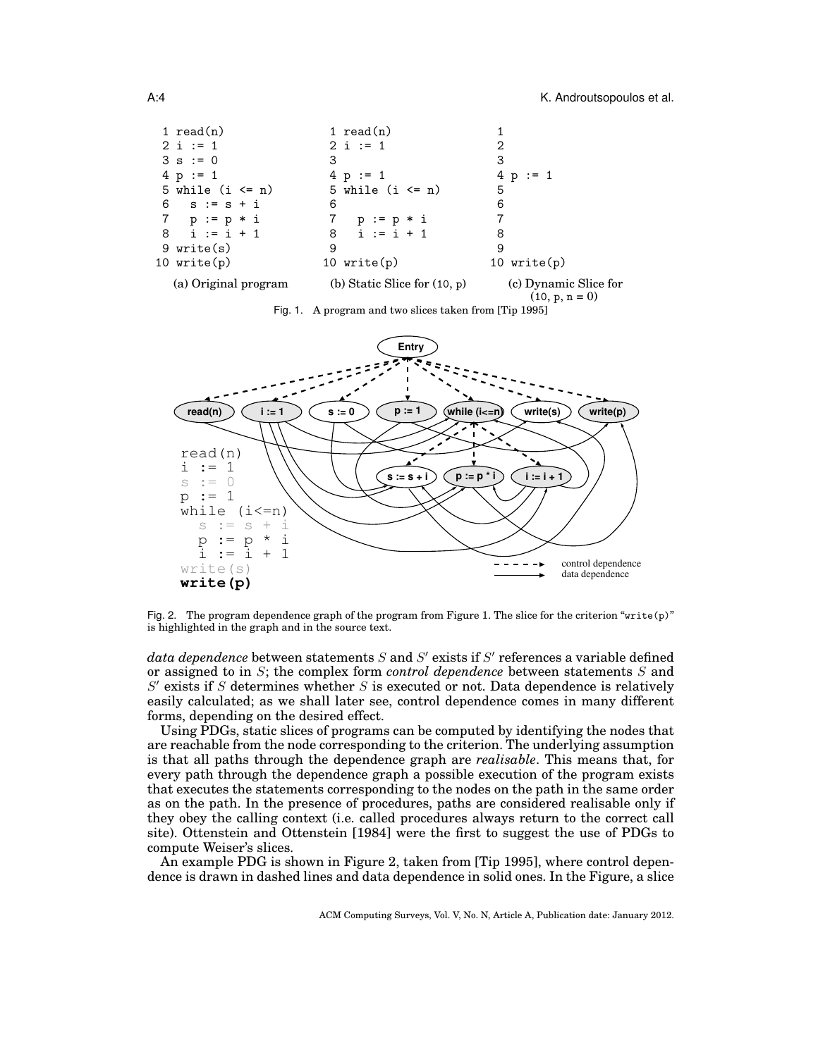| 1 $read(n)$          | 1 $read(n)$                    |                                           |
|----------------------|--------------------------------|-------------------------------------------|
| $2 i := 1$           | $2 i := 1$                     | 2                                         |
| $3 s := 0$           | 3                              | 3                                         |
| $4 p := 1$           | $4 p := 1$                     | $4 p := 1$                                |
| 5 while $(i \le n)$  | 5 while $(i \le n)$            | 5                                         |
| 6 $s := s + i$       | 6                              | 6                                         |
| 7 $p := p * i$       | р: = р * і<br>7                |                                           |
| $8 \quad i := i + 1$ | $8 \quad i := i + 1$           | 8                                         |
| 9 write(s)           | 9                              | 9                                         |
| 10 $write(p)$        | 10 $write(p)$                  | 10 $write(p)$                             |
| (a) Original program | (b) Static Slice for $(10, p)$ | (c) Dynamic Slice for<br>$(10, p, n = 0)$ |





Fig. 2. The program dependence graph of the program from Figure 1. The slice for the criterion "write(p)" is highlighted in the graph and in the source text.

 $data\ dependence$  between statements  $S$  and  $S'$  exists if  $S'$  references a variable defined or assigned to in S; the complex form *control dependence* between statements S and  $S'$  exists if S determines whether S is executed or not. Data dependence is relatively easily calculated; as we shall later see, control dependence comes in many different forms, depending on the desired effect.

Using PDGs, static slices of programs can be computed by identifying the nodes that are reachable from the node corresponding to the criterion. The underlying assumption is that all paths through the dependence graph are *realisable*. This means that, for every path through the dependence graph a possible execution of the program exists that executes the statements corresponding to the nodes on the path in the same order as on the path. In the presence of procedures, paths are considered realisable only if they obey the calling context (i.e. called procedures always return to the correct call site). Ottenstein and Ottenstein [1984] were the first to suggest the use of PDGs to compute Weiser's slices.

An example PDG is shown in Figure 2, taken from [Tip 1995], where control dependence is drawn in dashed lines and data dependence in solid ones. In the Figure, a slice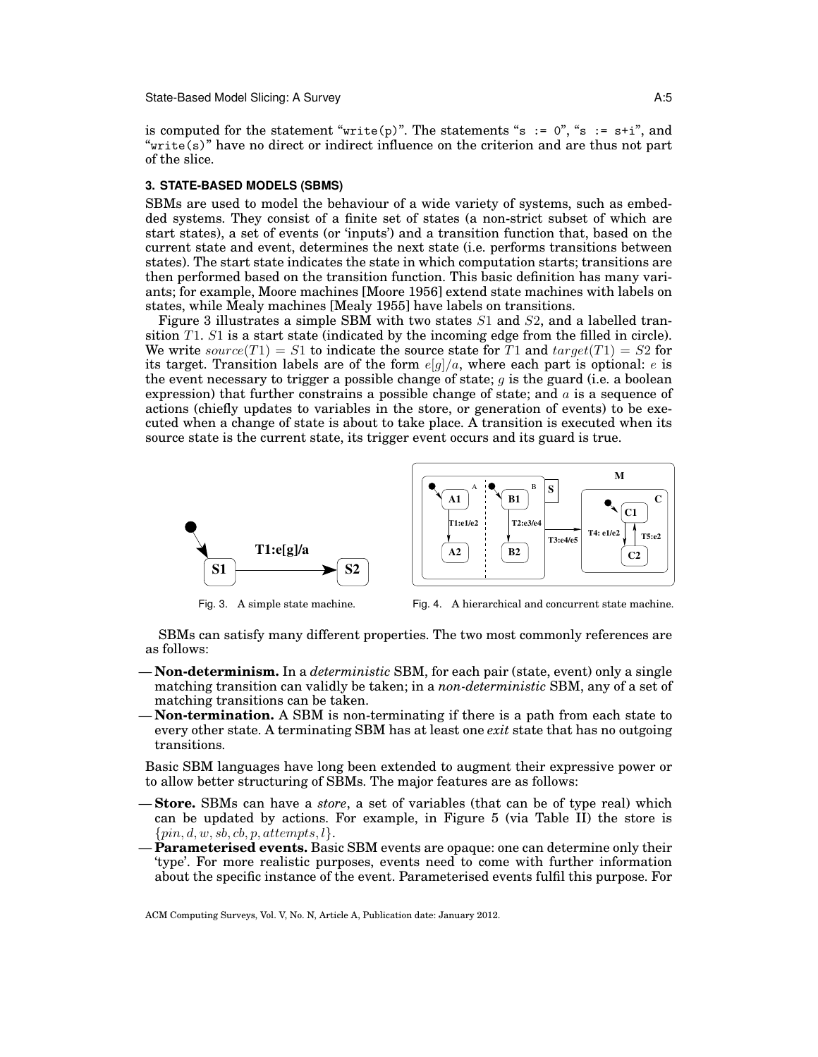State-Based Model Slicing: A Survey A:5

is computed for the statement "write(p)". The statements "s :=  $0$ ", "s :=  $s+i$ ", and "write(s)" have no direct or indirect influence on the criterion and are thus not part of the slice.

### **3. STATE-BASED MODELS (SBMS)**

SBMs are used to model the behaviour of a wide variety of systems, such as embedded systems. They consist of a finite set of states (a non-strict subset of which are start states), a set of events (or 'inputs') and a transition function that, based on the current state and event, determines the next state (i.e. performs transitions between states). The start state indicates the state in which computation starts; transitions are then performed based on the transition function. This basic definition has many variants; for example, Moore machines [Moore 1956] extend state machines with labels on states, while Mealy machines [Mealy 1955] have labels on transitions.

Figure 3 illustrates a simple SBM with two states  $S1$  and  $S2$ , and a labelled transition  $T1$ . S1 is a start state (indicated by the incoming edge from the filled in circle). We write source(T1) = S1 to indicate the source state for T1 and  $target(T1) = S2$  for its target. Transition labels are of the form  $e[g]/a$ , where each part is optional: e is the event necessary to trigger a possible change of state;  $g$  is the guard (i.e. a boolean expression) that further constrains a possible change of state; and a is a sequence of actions (chiefly updates to variables in the store, or generation of events) to be executed when a change of state is about to take place. A transition is executed when its source state is the current state, its trigger event occurs and its guard is true.



Fig. 3. A simple state machine.



Fig. 4. A hierarchical and concurrent state machine.

SBMs can satisfy many different properties. The two most commonly references are as follows:

- **Non-determinism.** In a *deterministic* SBM, for each pair (state, event) only a single matching transition can validly be taken; in a *non-deterministic* SBM, any of a set of matching transitions can be taken.
- **Non-termination.** A SBM is non-terminating if there is a path from each state to every other state. A terminating SBM has at least one *exit* state that has no outgoing transitions.

Basic SBM languages have long been extended to augment their expressive power or to allow better structuring of SBMs. The major features are as follows:

- **Store.** SBMs can have a *store*, a set of variables (that can be of type real) which can be updated by actions. For example, in Figure 5 (via Table II) the store is  $\{pin, d, w, sb, cb, p, attempts, l\}.$
- **Parameterised events.** Basic SBM events are opaque: one can determine only their 'type'. For more realistic purposes, events need to come with further information about the specific instance of the event. Parameterised events fulfil this purpose. For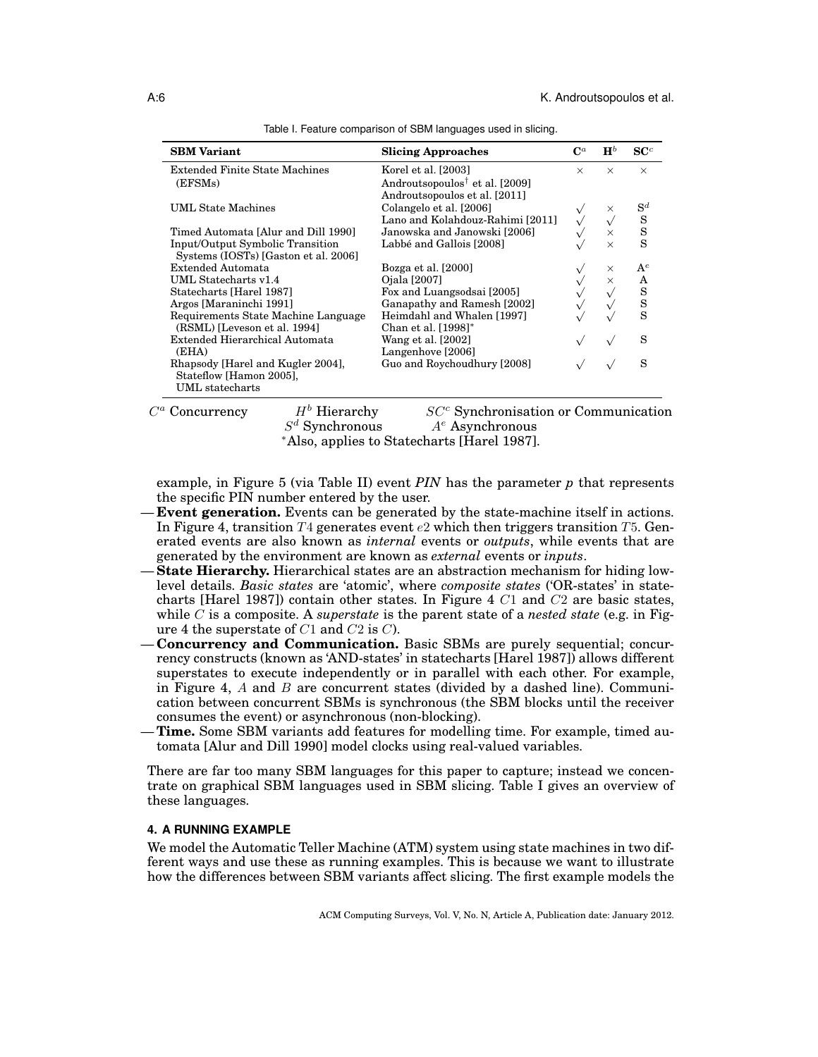| <b>SBM</b> Variant                                 | <b>Slicing Approaches</b>                  | $\mathbf{C}^a$ | $\mathbf{H}^b$ | SC <sup>c</sup> |
|----------------------------------------------------|--------------------------------------------|----------------|----------------|-----------------|
| <b>Extended Finite State Machines</b>              | Korel et al. [2003]                        | $\times$       | $\times$       | $\times$        |
| (EFSMs)                                            | Androutsopoulos <sup>†</sup> et al. [2009] |                |                |                 |
|                                                    | Androutsopoulos et al. [2011]              |                |                |                 |
| <b>UML State Machines</b>                          | Colangelo et al. [2006]                    |                | ×              | $\mathrm{S}^d$  |
|                                                    | Lano and Kolahdouz-Rahimi [2011]           |                |                |                 |
| Timed Automata [Alur and Dill 1990]                | Janowska and Janowski [2006]               |                | $\times$       | $\frac{S}{S}$   |
| Input/Output Symbolic Transition                   | Labbé and Gallois [2008]                   |                | $\times$       |                 |
| Systems (IOSTs) [Gaston et al. 2006]               |                                            |                |                |                 |
| Extended Automata                                  | Bozga et al. [2000]                        |                | $\times$       | $\mathbf{A}^e$  |
| UML Statecharts v1.4                               | Ojala [2007]                               |                | $\times$       | A               |
| Statecharts [Harel 1987]                           | Fox and Luangsodsai [2005]                 |                |                | $\frac{S}{S}$   |
| Argos [Maraninchi 1991]                            | Ganapathy and Ramesh [2002]                |                |                |                 |
| Requirements State Machine Language                | Heimdahl and Whalen [1997]                 |                |                |                 |
| (RSML) [Leveson et al. 1994]                       | Chan et al. [1998]*                        |                |                |                 |
| Extended Hierarchical Automata                     | Wang et al. [2002]                         |                |                | S               |
| (EHA)                                              | Langenhove [2006]                          |                |                |                 |
| Rhapsody [Harel and Kugler 2004],                  | Guo and Roychoudhury [2008]                |                |                | S               |
| Stateflow [Hamon 2005],                            |                                            |                |                |                 |
| UML statecharts                                    |                                            |                |                |                 |
| $\tau\tau h$ $\tau\tau$<br>п.<br>$\alpha$ $\alpha$ | $\mathbf{I}$<br>$\alpha \sim \alpha$<br>.  |                |                |                 |

| Table I. Feature comparison of SBM languages used in slicing. |  |
|---------------------------------------------------------------|--|
|---------------------------------------------------------------|--|

 $C^a$  Concurrency

 $H<sup>b</sup>$  Hierarchy  $SC<sup>c</sup>$  Synchronisation or Communication  $S^d$  Synchronous  $A<sup>e</sup>$  Asynchronous <sup>∗</sup>Also, applies to Statecharts [Harel 1987].

example, in Figure 5 (via Table II) event *PIN* has the parameter *p* that represents the specific PIN number entered by the user.

- **Event generation.** Events can be generated by the state-machine itself in actions. In Figure 4, transition  $T_4$  generates event e2 which then triggers transition T<sub>5</sub>. Generated events are also known as *internal* events or *outputs*, while events that are generated by the environment are known as *external* events or *inputs*.
- **State Hierarchy.** Hierarchical states are an abstraction mechanism for hiding lowlevel details. *Basic states* are 'atomic', where *composite states* ('OR-states' in statecharts [Harel 1987]) contain other states. In Figure 4 C1 and C2 are basic states, while C is a composite. A *superstate* is the parent state of a *nested state* (e.g. in Figure 4 the superstate of  $C1$  and  $C2$  is  $C$ ).
- **Concurrency and Communication.** Basic SBMs are purely sequential; concurrency constructs (known as 'AND-states' in statecharts [Harel 1987]) allows different superstates to execute independently or in parallel with each other. For example, in Figure 4,  $A$  and  $B$  are concurrent states (divided by a dashed line). Communication between concurrent SBMs is synchronous (the SBM blocks until the receiver consumes the event) or asynchronous (non-blocking).
- **Time.** Some SBM variants add features for modelling time. For example, timed automata [Alur and Dill 1990] model clocks using real-valued variables.

There are far too many SBM languages for this paper to capture; instead we concentrate on graphical SBM languages used in SBM slicing. Table I gives an overview of these languages.

## **4. A RUNNING EXAMPLE**

We model the Automatic Teller Machine (ATM) system using state machines in two different ways and use these as running examples. This is because we want to illustrate how the differences between SBM variants affect slicing. The first example models the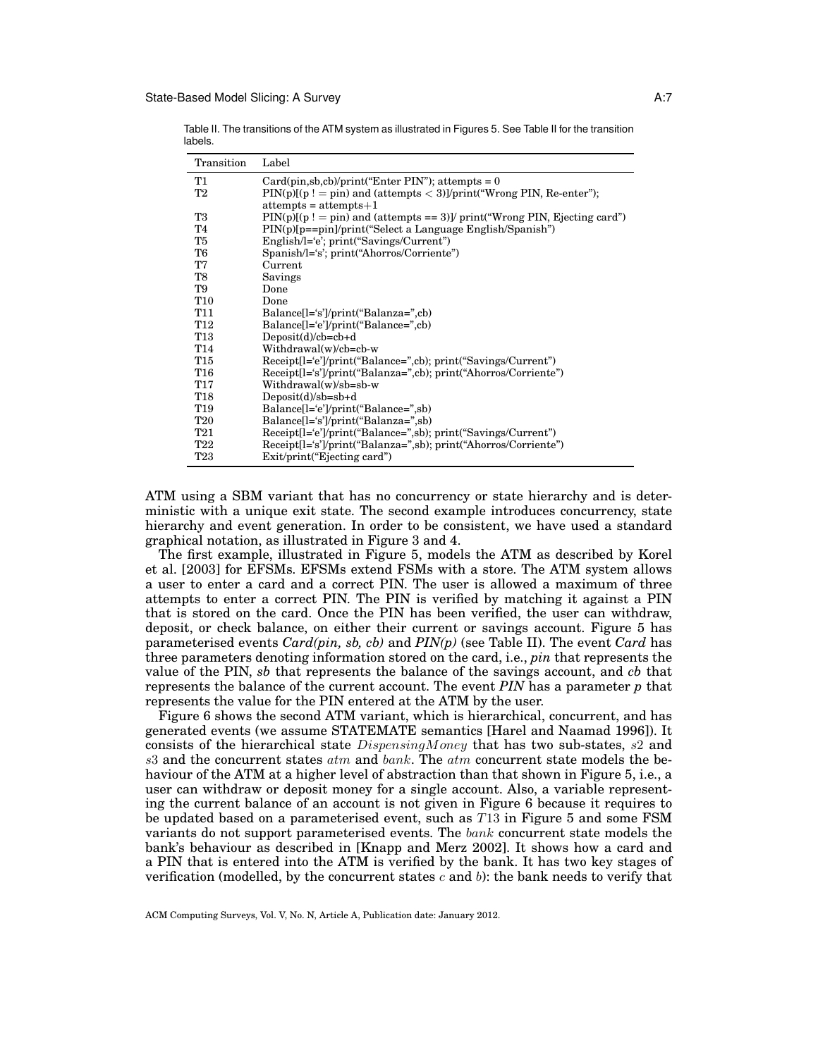Table II. The transitions of the ATM system as illustrated in Figures 5. See Table II for the transition labels.

| Transition      | Label                                                                       |
|-----------------|-----------------------------------------------------------------------------|
| Τ1              | $Card(pin, sb, cb)/print("Enter PIN")$ ; attempts = 0                       |
| T2              | $PIN(p)[p! = pin)$ and (attempts < 3)]/print("Wrong PIN, Re-enter");        |
|                 | $attempts = attempts+1$                                                     |
| T3              | $PIN(p)[(p := pin)$ and (attempts == 3)]/ print("Wrong PIN, Ejecting card") |
| T4              | $PIN(p)[p=pin]/print("Select a Language English/Spanish")$                  |
| T5              | $English / l = 'e'; print("Savings / Current")$                             |
| T6              | Spanish/l='s'; print("Ahorros/Corriente")                                   |
| T7              | Current                                                                     |
| T8              | Savings                                                                     |
| T9              | Done                                                                        |
| <b>T10</b>      | Done                                                                        |
| T11             | Balance[l='s']/print("Balanza=",cb)                                         |
| T <sub>12</sub> | Balance[l='e']/print("Balance=",cb)                                         |
| T13             | $Deposit(d)/cb = cb + d$                                                    |
| T <sub>14</sub> | Withdrawal(w)/cb=cb-w                                                       |
| T15             | Receipt[l='e']/print("Balance=",cb); print("Savings/Current")               |
| <b>T16</b>      | Receipt[l='s']/print("Balanza=",cb); print("Ahorros/Corriente")             |
| T17             | Withdrawal(w)/sb=sb-w                                                       |
| T18             | $Deposit(d)/sb = sb + d$                                                    |
| T19             | Balance <sup>[1]</sup> ='e']/print("Balance=",sb)                           |
| <b>T20</b>      | Balance <sup>[1]</sup> ='s']/print("Balanza=",sb)                           |
| T21             | Receipt[l='e']/print("Balance=",sb);    print("Savings/Current")            |
| <b>T22</b>      | Receipt[1='s']/print("Balanza=",sb); print("Ahorros/Corriente")             |
| <b>T23</b>      | Exit/print("Ejecting card")                                                 |

ATM using a SBM variant that has no concurrency or state hierarchy and is deterministic with a unique exit state. The second example introduces concurrency, state hierarchy and event generation. In order to be consistent, we have used a standard graphical notation, as illustrated in Figure 3 and 4.

The first example, illustrated in Figure 5, models the ATM as described by Korel et al. [2003] for EFSMs. EFSMs extend FSMs with a store. The ATM system allows a user to enter a card and a correct PIN. The user is allowed a maximum of three attempts to enter a correct PIN. The PIN is verified by matching it against a PIN that is stored on the card. Once the PIN has been verified, the user can withdraw, deposit, or check balance, on either their current or savings account. Figure 5 has parameterised events *Card(pin, sb, cb)* and *PIN(p)* (see Table II). The event *Card* has three parameters denoting information stored on the card, i.e., *pin* that represents the value of the PIN, *sb* that represents the balance of the savings account, and *cb* that represents the balance of the current account. The event *PIN* has a parameter *p* that represents the value for the PIN entered at the ATM by the user.

Figure 6 shows the second ATM variant, which is hierarchical, concurrent, and has generated events (we assume STATEMATE semantics [Harel and Naamad 1996]). It consists of the hierarchical state DispensingMoney that has two sub-states, s2 and  $s3$  and the concurrent states  $atm$  and  $bank$ . The  $atm$  concurrent state models the behaviour of the ATM at a higher level of abstraction than that shown in Figure 5, i.e., a user can withdraw or deposit money for a single account. Also, a variable representing the current balance of an account is not given in Figure 6 because it requires to be updated based on a parameterised event, such as T13 in Figure 5 and some FSM variants do not support parameterised events. The bank concurrent state models the bank's behaviour as described in [Knapp and Merz 2002]. It shows how a card and a PIN that is entered into the ATM is verified by the bank. It has two key stages of verification (modelled, by the concurrent states c and b): the bank needs to verify that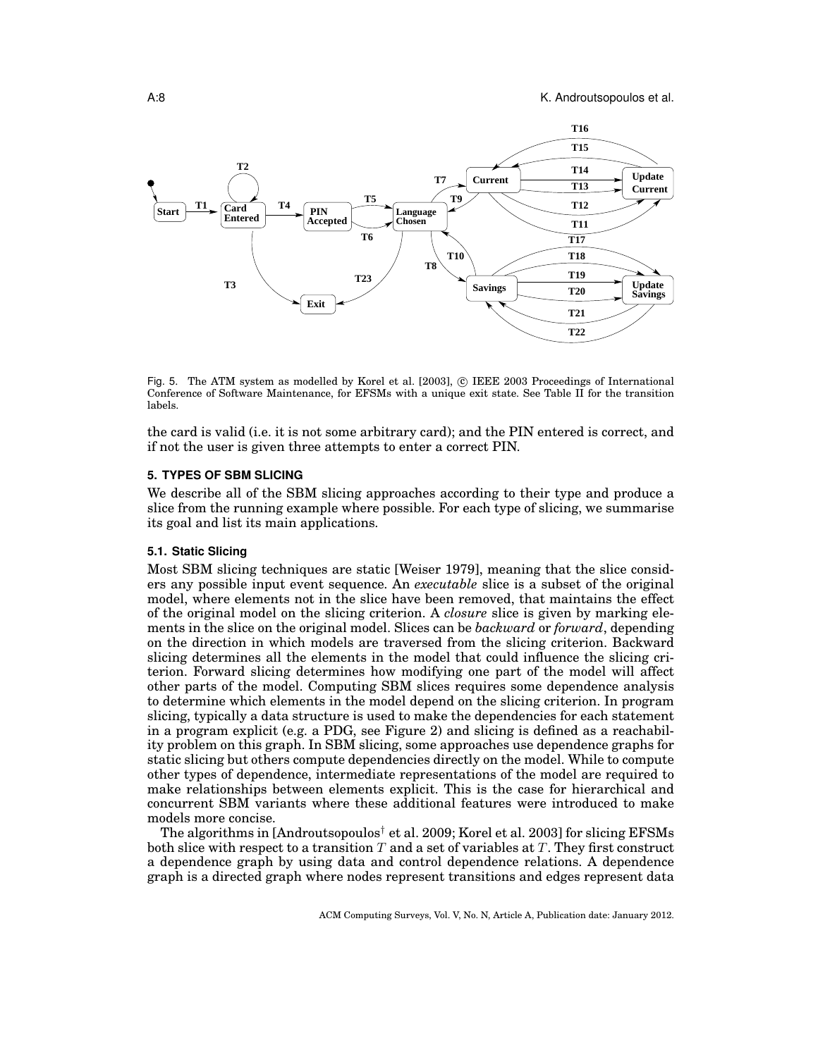

Fig. 5. The ATM system as modelled by Korel et al. [2003],  $\odot$  IEEE 2003 Proceedings of International Conference of Software Maintenance, for EFSMs with a unique exit state. See Table II for the transition labels.

the card is valid (i.e. it is not some arbitrary card); and the PIN entered is correct, and if not the user is given three attempts to enter a correct PIN.

### **5. TYPES OF SBM SLICING**

We describe all of the SBM slicing approaches according to their type and produce a slice from the running example where possible. For each type of slicing, we summarise its goal and list its main applications.

### **5.1. Static Slicing**

Most SBM slicing techniques are static [Weiser 1979], meaning that the slice considers any possible input event sequence. An *executable* slice is a subset of the original model, where elements not in the slice have been removed, that maintains the effect of the original model on the slicing criterion. A *closure* slice is given by marking elements in the slice on the original model. Slices can be *backward* or *forward*, depending on the direction in which models are traversed from the slicing criterion. Backward slicing determines all the elements in the model that could influence the slicing criterion. Forward slicing determines how modifying one part of the model will affect other parts of the model. Computing SBM slices requires some dependence analysis to determine which elements in the model depend on the slicing criterion. In program slicing, typically a data structure is used to make the dependencies for each statement in a program explicit (e.g. a PDG, see Figure 2) and slicing is defined as a reachability problem on this graph. In SBM slicing, some approaches use dependence graphs for static slicing but others compute dependencies directly on the model. While to compute other types of dependence, intermediate representations of the model are required to make relationships between elements explicit. This is the case for hierarchical and concurrent SBM variants where these additional features were introduced to make models more concise.

The algorithms in [Androutsopoulos<sup>†</sup> et al. 2009; Korel et al. 2003] for slicing EFSMs both slice with respect to a transition T and a set of variables at T. They first construct a dependence graph by using data and control dependence relations. A dependence graph is a directed graph where nodes represent transitions and edges represent data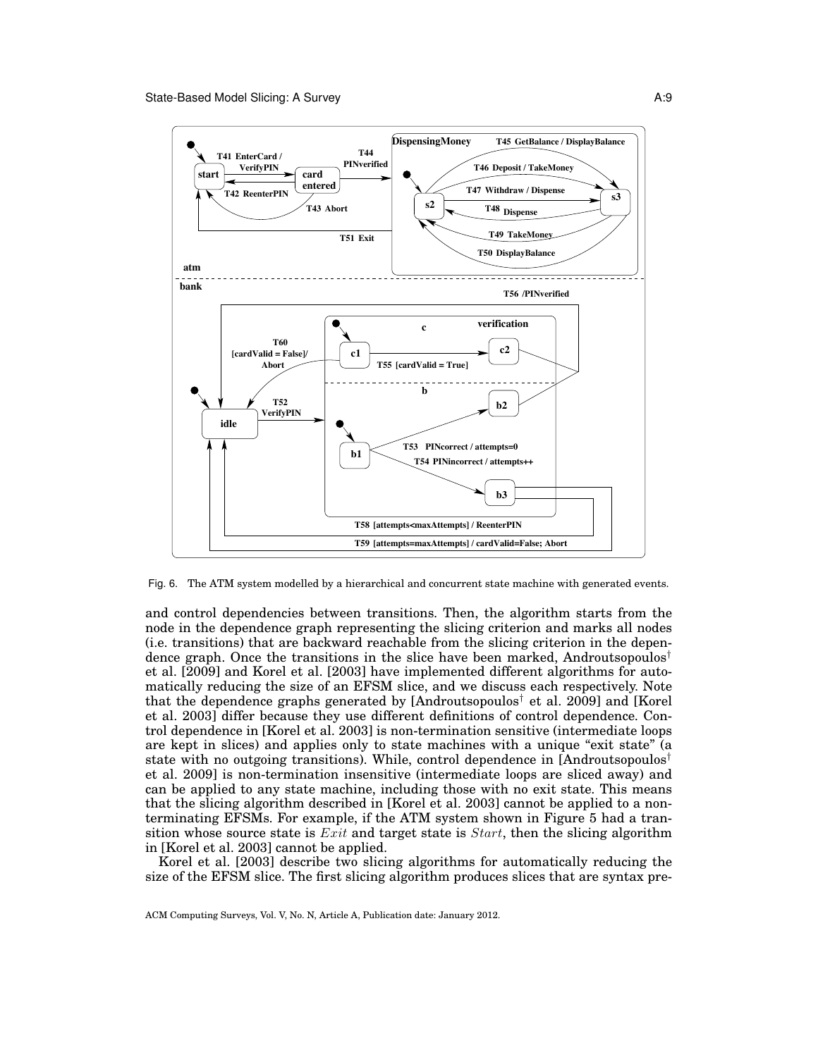

Fig. 6. The ATM system modelled by a hierarchical and concurrent state machine with generated events.

and control dependencies between transitions. Then, the algorithm starts from the node in the dependence graph representing the slicing criterion and marks all nodes (i.e. transitions) that are backward reachable from the slicing criterion in the dependence graph. Once the transitions in the slice have been marked, Androutsopoulos<sup>†</sup> et al. [2009] and Korel et al. [2003] have implemented different algorithms for automatically reducing the size of an EFSM slice, and we discuss each respectively. Note that the dependence graphs generated by  $[Androutsopoulos<sup>†</sup>]$  et al. 2009] and  $[Korel]$ et al. 2003] differ because they use different definitions of control dependence. Control dependence in [Korel et al. 2003] is non-termination sensitive (intermediate loops are kept in slices) and applies only to state machines with a unique "exit state" (a state with no outgoing transitions). While, control dependence in [Androutsopoulos† et al. 2009] is non-termination insensitive (intermediate loops are sliced away) and can be applied to any state machine, including those with no exit state. This means that the slicing algorithm described in [Korel et al. 2003] cannot be applied to a nonterminating EFSMs. For example, if the ATM system shown in Figure 5 had a transition whose source state is  $Exit$  and target state is  $Start$ , then the slicing algorithm in [Korel et al. 2003] cannot be applied.

Korel et al. [2003] describe two slicing algorithms for automatically reducing the size of the EFSM slice. The first slicing algorithm produces slices that are syntax pre-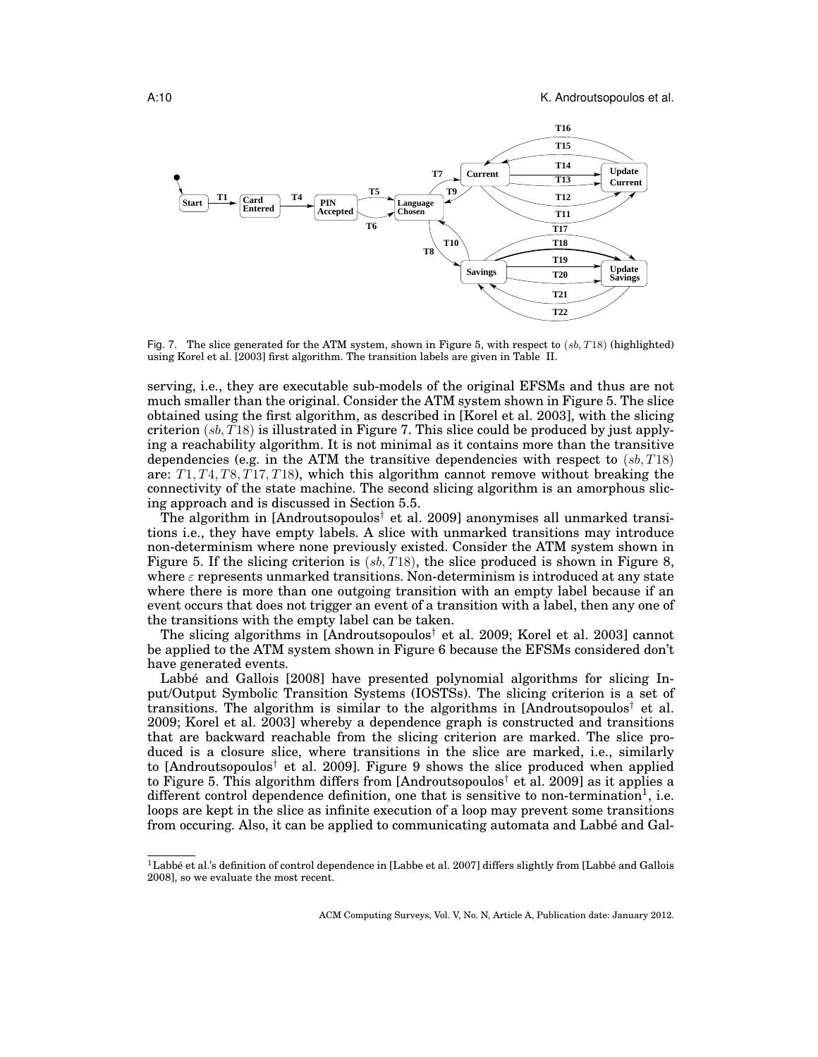

Fig. 7. The slice generated for the ATM system, shown in Figure 5, with respect to  $(sb, T18)$  (highlighted) using Korel et al. [2003] first algorithm. The transition labels are given in Table II.

serving, i.e., they are executable sub-models of the original EFSMs and thus are not much smaller than the original. Consider the ATM system shown in Figure 5. The slice obtained using the first algorithm, as described in [Korel et al. 2003], with the slicing criterion  $(s_b, T18)$  is illustrated in Figure 7. This slice could be produced by just applying a reachability algorithm. It is not minimal as it contains more than the transitive dependencies (e.g. in the ATM the transitive dependencies with respect to  $(s, T18)$ ) are:  $T1, T4, T8, T17, T18$ , which this algorithm cannot remove without breaking the connectivity of the state machine. The second slicing algorithm is an amorphous slicing approach and is discussed in Section 5.5.

The algorithm in [Androutsopoulos<sup>†</sup> et al. 2009] anonymises all unmarked transitions i.e., they have empty labels. A slice with unmarked transitions may introduce non-determinism where none previously existed. Consider the ATM system shown in Figure 5. If the slicing criterion is  $(s, T18)$ , the slice produced is shown in Figure 8, where  $\varepsilon$  represents unmarked transitions. Non-determinism is introduced at any state where there is more than one outgoing transition with an empty label because if an event occurs that does not trigger an event of a transition with a label, then any one of the transitions with the empty label can be taken.

The slicing algorithms in [Androutsopoulos<sup>†</sup> et al. 2009; Korel et al. 2003] cannot be applied to the ATM system shown in Figure 6 because the EFSMs considered don't have generated events.

Labbé and Gallois [2008] have presented polynomial algorithms for slicing Input/Output Symbolic Transition Systems (IOSTSs). The slicing criterion is a set of transitions. The algorithm is similar to the algorithms in  $[Androutsopoulos<sup>†</sup> et al.]$ 2009; Korel et al. 2003] whereby a dependence graph is constructed and transitions that are backward reachable from the slicing criterion are marked. The slice produced is a closure slice, where transitions in the slice are marked, i.e., similarly to [Androutsopoulos<sup>†</sup> et al. 2009]. Figure 9 shows the slice produced when applied to Figure 5. This algorithm differs from [Androutsopoulos† et al. 2009] as it applies a different control dependence definition, one that is sensitive to non-termination<sup>1</sup>, i.e. loops are kept in the slice as infinite execution of a loop may prevent some transitions from occuring. Also, it can be applied to communicating automata and Labbé and Gal-

 $1$ Labbé et al.'s definition of control dependence in [Labbe et al. 2007] differs slightly from [Labbé and Gallois 2008], so we evaluate the most recent.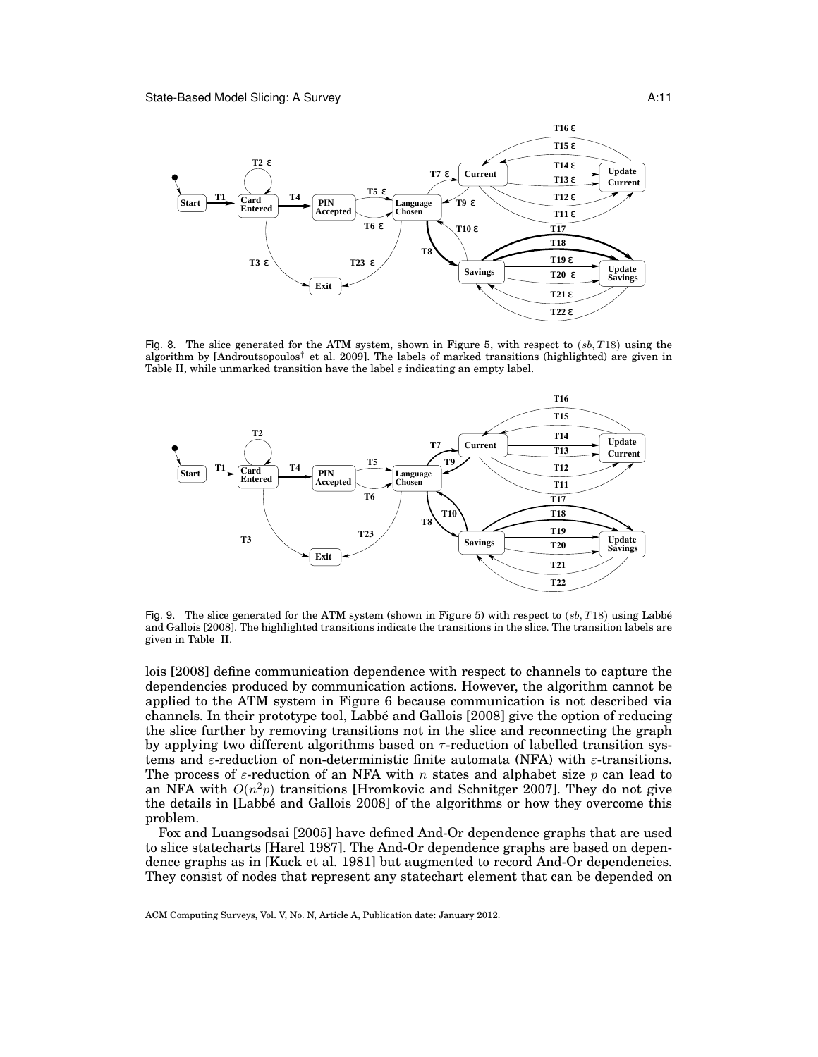

Fig. 8. The slice generated for the ATM system, shown in Figure 5, with respect to  $(s, T18)$  using the algorithm by [Androutsopoulos† et al. 2009]. The labels of marked transitions (highlighted) are given in Table II, while unmarked transition have the label  $\varepsilon$  indicating an empty label.



Fig. 9. The slice generated for the ATM system (shown in Figure 5) with respect to  $(s\,, T18)$  using Labbé and Gallois [2008]. The highlighted transitions indicate the transitions in the slice. The transition labels are given in Table II.

lois [2008] define communication dependence with respect to channels to capture the dependencies produced by communication actions. However, the algorithm cannot be applied to the ATM system in Figure 6 because communication is not described via channels. In their prototype tool, Labbe and Gallois [2008] give the option of reducing ´ the slice further by removing transitions not in the slice and reconnecting the graph by applying two different algorithms based on  $\tau$ -reduction of labelled transition systems and  $\varepsilon$ -reduction of non-deterministic finite automata (NFA) with  $\varepsilon$ -transitions. The process of  $\varepsilon$ -reduction of an NFA with n states and alphabet size p can lead to an NFA with  $O(n^2p)$  transitions [Hromkovic and Schnitger 2007]. They do not give the details in [Labbé and Gallois 2008] of the algorithms or how they overcome this problem.

Fox and Luangsodsai [2005] have defined And-Or dependence graphs that are used to slice statecharts [Harel 1987]. The And-Or dependence graphs are based on dependence graphs as in [Kuck et al. 1981] but augmented to record And-Or dependencies. They consist of nodes that represent any statechart element that can be depended on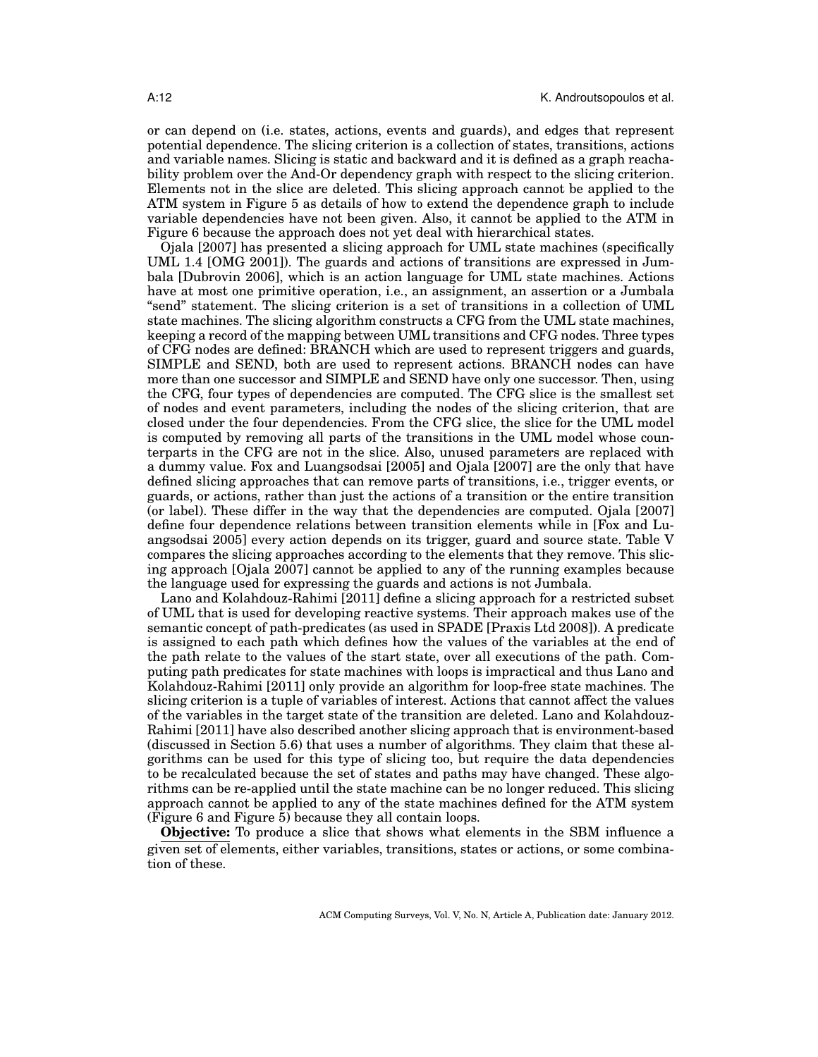or can depend on (i.e. states, actions, events and guards), and edges that represent potential dependence. The slicing criterion is a collection of states, transitions, actions and variable names. Slicing is static and backward and it is defined as a graph reachability problem over the And-Or dependency graph with respect to the slicing criterion. Elements not in the slice are deleted. This slicing approach cannot be applied to the ATM system in Figure 5 as details of how to extend the dependence graph to include variable dependencies have not been given. Also, it cannot be applied to the ATM in Figure 6 because the approach does not yet deal with hierarchical states.

Ojala [2007] has presented a slicing approach for UML state machines (specifically UML 1.4 [OMG 2001]). The guards and actions of transitions are expressed in Jumbala [Dubrovin 2006], which is an action language for UML state machines. Actions have at most one primitive operation, i.e., an assignment, an assertion or a Jumbala "send" statement. The slicing criterion is a set of transitions in a collection of UML state machines. The slicing algorithm constructs a CFG from the UML state machines, keeping a record of the mapping between UML transitions and CFG nodes. Three types of CFG nodes are defined: BRANCH which are used to represent triggers and guards, SIMPLE and SEND, both are used to represent actions. BRANCH nodes can have more than one successor and SIMPLE and SEND have only one successor. Then, using the CFG, four types of dependencies are computed. The CFG slice is the smallest set of nodes and event parameters, including the nodes of the slicing criterion, that are closed under the four dependencies. From the CFG slice, the slice for the UML model is computed by removing all parts of the transitions in the UML model whose counterparts in the CFG are not in the slice. Also, unused parameters are replaced with a dummy value. Fox and Luangsodsai [2005] and Ojala [2007] are the only that have defined slicing approaches that can remove parts of transitions, i.e., trigger events, or guards, or actions, rather than just the actions of a transition or the entire transition (or label). These differ in the way that the dependencies are computed. Ojala [2007] define four dependence relations between transition elements while in [Fox and Luangsodsai 2005] every action depends on its trigger, guard and source state. Table V compares the slicing approaches according to the elements that they remove. This slicing approach [Ojala 2007] cannot be applied to any of the running examples because the language used for expressing the guards and actions is not Jumbala.

Lano and Kolahdouz-Rahimi [2011] define a slicing approach for a restricted subset of UML that is used for developing reactive systems. Their approach makes use of the semantic concept of path-predicates (as used in SPADE [Praxis Ltd 2008]). A predicate is assigned to each path which defines how the values of the variables at the end of the path relate to the values of the start state, over all executions of the path. Computing path predicates for state machines with loops is impractical and thus Lano and Kolahdouz-Rahimi [2011] only provide an algorithm for loop-free state machines. The slicing criterion is a tuple of variables of interest. Actions that cannot affect the values of the variables in the target state of the transition are deleted. Lano and Kolahdouz-Rahimi [2011] have also described another slicing approach that is environment-based (discussed in Section 5.6) that uses a number of algorithms. They claim that these algorithms can be used for this type of slicing too, but require the data dependencies to be recalculated because the set of states and paths may have changed. These algorithms can be re-applied until the state machine can be no longer reduced. This slicing approach cannot be applied to any of the state machines defined for the ATM system (Figure 6 and Figure 5) because they all contain loops.

**Objective:** To produce a slice that shows what elements in the SBM influence a given set of elements, either variables, transitions, states or actions, or some combination of these.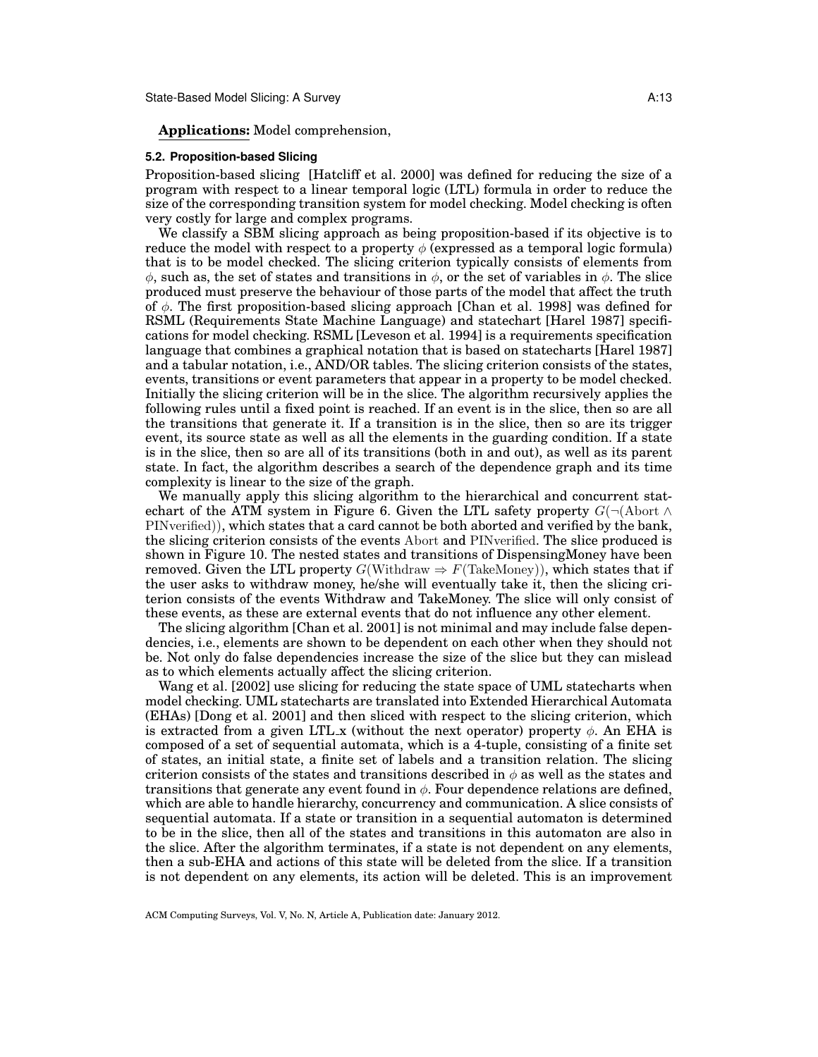## **Applications:** Model comprehension,

#### **5.2. Proposition-based Slicing**

Proposition-based slicing [Hatcliff et al. 2000] was defined for reducing the size of a program with respect to a linear temporal logic (LTL) formula in order to reduce the size of the corresponding transition system for model checking. Model checking is often very costly for large and complex programs.

We classify a SBM slicing approach as being proposition-based if its objective is to reduce the model with respect to a property  $\phi$  (expressed as a temporal logic formula) that is to be model checked. The slicing criterion typically consists of elements from  $\phi$ , such as, the set of states and transitions in  $\phi$ , or the set of variables in  $\phi$ . The slice produced must preserve the behaviour of those parts of the model that affect the truth of  $\phi$ . The first proposition-based slicing approach [Chan et al. 1998] was defined for RSML (Requirements State Machine Language) and statechart [Harel 1987] specifications for model checking. RSML [Leveson et al. 1994] is a requirements specification language that combines a graphical notation that is based on statecharts [Harel 1987] and a tabular notation, i.e., AND/OR tables. The slicing criterion consists of the states, events, transitions or event parameters that appear in a property to be model checked. Initially the slicing criterion will be in the slice. The algorithm recursively applies the following rules until a fixed point is reached. If an event is in the slice, then so are all the transitions that generate it. If a transition is in the slice, then so are its trigger event, its source state as well as all the elements in the guarding condition. If a state is in the slice, then so are all of its transitions (both in and out), as well as its parent state. In fact, the algorithm describes a search of the dependence graph and its time complexity is linear to the size of the graph.

We manually apply this slicing algorithm to the hierarchical and concurrent statechart of the ATM system in Figure 6. Given the LTL safety property  $G(\neg(\text{Abort }\wedge$ PINverified)), which states that a card cannot be both aborted and verified by the bank, the slicing criterion consists of the events Abort and PINverified. The slice produced is shown in Figure 10. The nested states and transitions of DispensingMoney have been removed. Given the LTL property  $G(\text{Without} \Rightarrow F(\text{TakeMoney})),$  which states that if the user asks to withdraw money, he/she will eventually take it, then the slicing criterion consists of the events Withdraw and TakeMoney. The slice will only consist of these events, as these are external events that do not influence any other element.

The slicing algorithm [Chan et al. 2001] is not minimal and may include false dependencies, i.e., elements are shown to be dependent on each other when they should not be. Not only do false dependencies increase the size of the slice but they can mislead as to which elements actually affect the slicing criterion.

Wang et al. [2002] use slicing for reducing the state space of UML statecharts when model checking. UML statecharts are translated into Extended Hierarchical Automata (EHAs) [Dong et al. 2001] and then sliced with respect to the slicing criterion, which is extracted from a given LTL x (without the next operator) property  $\phi$ . An EHA is composed of a set of sequential automata, which is a 4-tuple, consisting of a finite set of states, an initial state, a finite set of labels and a transition relation. The slicing criterion consists of the states and transitions described in  $\phi$  as well as the states and transitions that generate any event found in  $\phi$ . Four dependence relations are defined, which are able to handle hierarchy, concurrency and communication. A slice consists of sequential automata. If a state or transition in a sequential automaton is determined to be in the slice, then all of the states and transitions in this automaton are also in the slice. After the algorithm terminates, if a state is not dependent on any elements, then a sub-EHA and actions of this state will be deleted from the slice. If a transition is not dependent on any elements, its action will be deleted. This is an improvement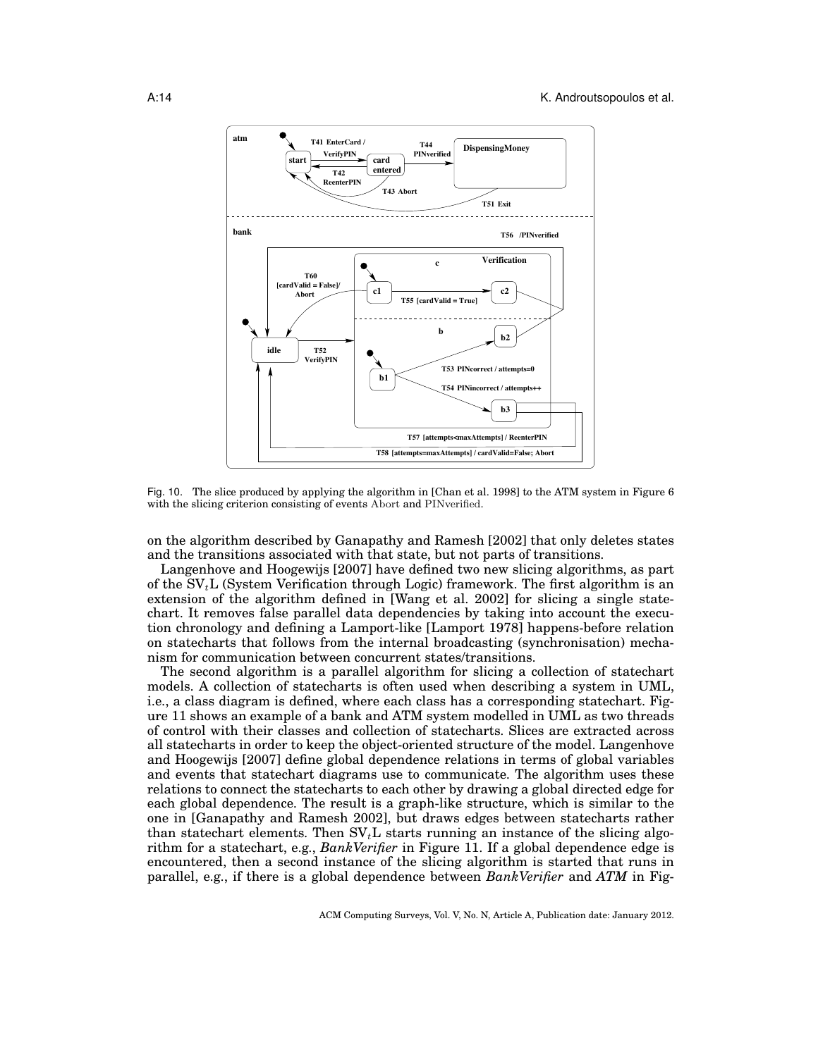

Fig. 10. The slice produced by applying the algorithm in [Chan et al. 1998] to the ATM system in Figure 6 with the slicing criterion consisting of events Abort and PINverified.

on the algorithm described by Ganapathy and Ramesh [2002] that only deletes states and the transitions associated with that state, but not parts of transitions.

Langenhove and Hoogewijs [2007] have defined two new slicing algorithms, as part of the  $SV_tL$  (System Verification through Logic) framework. The first algorithm is an extension of the algorithm defined in [Wang et al. 2002] for slicing a single statechart. It removes false parallel data dependencies by taking into account the execution chronology and defining a Lamport-like [Lamport 1978] happens-before relation on statecharts that follows from the internal broadcasting (synchronisation) mechanism for communication between concurrent states/transitions.

The second algorithm is a parallel algorithm for slicing a collection of statechart models. A collection of statecharts is often used when describing a system in UML, i.e., a class diagram is defined, where each class has a corresponding statechart. Figure 11 shows an example of a bank and ATM system modelled in UML as two threads of control with their classes and collection of statecharts. Slices are extracted across all statecharts in order to keep the object-oriented structure of the model. Langenhove and Hoogewijs [2007] define global dependence relations in terms of global variables and events that statechart diagrams use to communicate. The algorithm uses these relations to connect the statecharts to each other by drawing a global directed edge for each global dependence. The result is a graph-like structure, which is similar to the one in [Ganapathy and Ramesh 2002], but draws edges between statecharts rather than statechart elements. Then  $SV<sub>t</sub>$ L starts running an instance of the slicing algorithm for a statechart, e.g., *BankVerifier* in Figure 11. If a global dependence edge is encountered, then a second instance of the slicing algorithm is started that runs in parallel, e.g., if there is a global dependence between *BankVerifier* and *ATM* in Fig-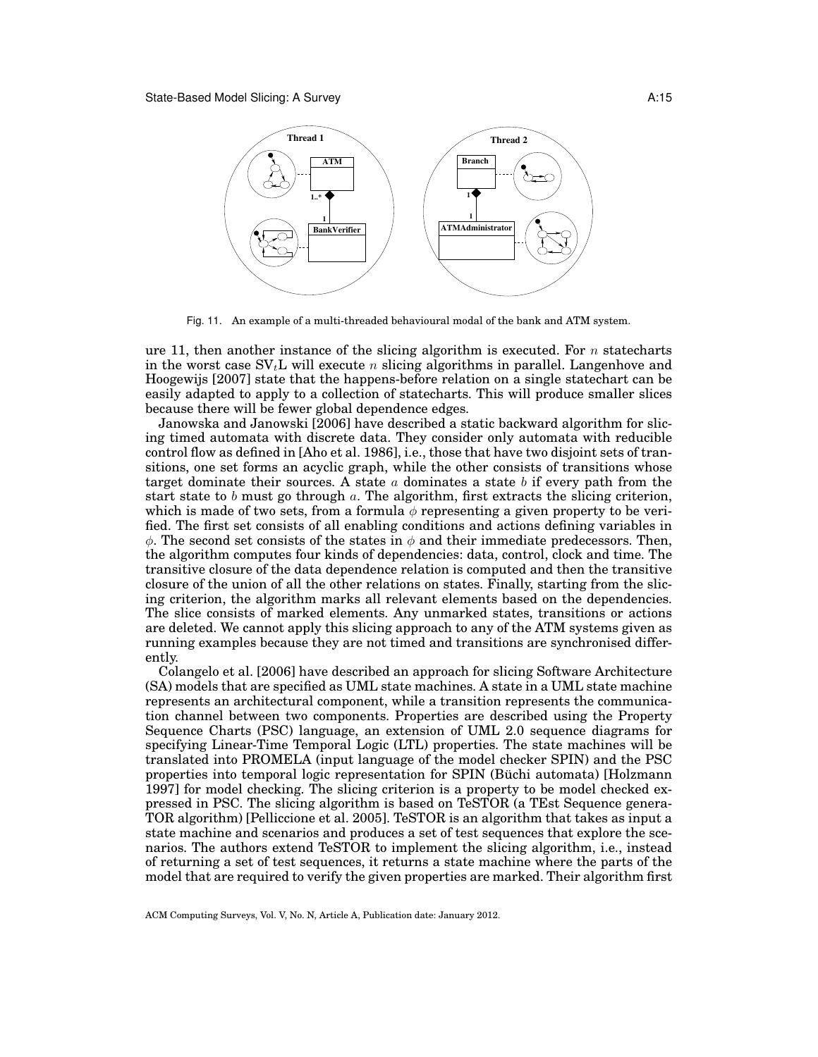

Fig. 11. An example of a multi-threaded behavioural modal of the bank and ATM system.

ure 11, then another instance of the slicing algorithm is executed. For  $n$  statecharts in the worst case  $SV<sub>t</sub>$ L will execute n slicing algorithms in parallel. Langenhove and Hoogewijs [2007] state that the happens-before relation on a single statechart can be easily adapted to apply to a collection of statecharts. This will produce smaller slices because there will be fewer global dependence edges.

Janowska and Janowski [2006] have described a static backward algorithm for slicing timed automata with discrete data. They consider only automata with reducible control flow as defined in [Aho et al. 1986], i.e., those that have two disjoint sets of transitions, one set forms an acyclic graph, while the other consists of transitions whose target dominate their sources. A state  $a$  dominates a state  $b$  if every path from the start state to b must go through a. The algorithm, first extracts the slicing criterion, which is made of two sets, from a formula  $\phi$  representing a given property to be verified. The first set consists of all enabling conditions and actions defining variables in  $\phi$ . The second set consists of the states in  $\phi$  and their immediate predecessors. Then, the algorithm computes four kinds of dependencies: data, control, clock and time. The transitive closure of the data dependence relation is computed and then the transitive closure of the union of all the other relations on states. Finally, starting from the slicing criterion, the algorithm marks all relevant elements based on the dependencies. The slice consists of marked elements. Any unmarked states, transitions or actions are deleted. We cannot apply this slicing approach to any of the ATM systems given as running examples because they are not timed and transitions are synchronised differently.

Colangelo et al. [2006] have described an approach for slicing Software Architecture (SA) models that are specified as UML state machines. A state in a UML state machine represents an architectural component, while a transition represents the communication channel between two components. Properties are described using the Property Sequence Charts (PSC) language, an extension of UML 2.0 sequence diagrams for specifying Linear-Time Temporal Logic (LTL) properties. The state machines will be translated into PROMELA (input language of the model checker SPIN) and the PSC properties into temporal logic representation for SPIN (Buchi automata) [Holzmann ¨ 1997] for model checking. The slicing criterion is a property to be model checked expressed in PSC. The slicing algorithm is based on TeSTOR (a TEst Sequence genera-TOR algorithm) [Pelliccione et al. 2005]. TeSTOR is an algorithm that takes as input a state machine and scenarios and produces a set of test sequences that explore the scenarios. The authors extend TeSTOR to implement the slicing algorithm, i.e., instead of returning a set of test sequences, it returns a state machine where the parts of the model that are required to verify the given properties are marked. Their algorithm first

ACM Computing Surveys, Vol. V, No. N, Article A, Publication date: January 2012.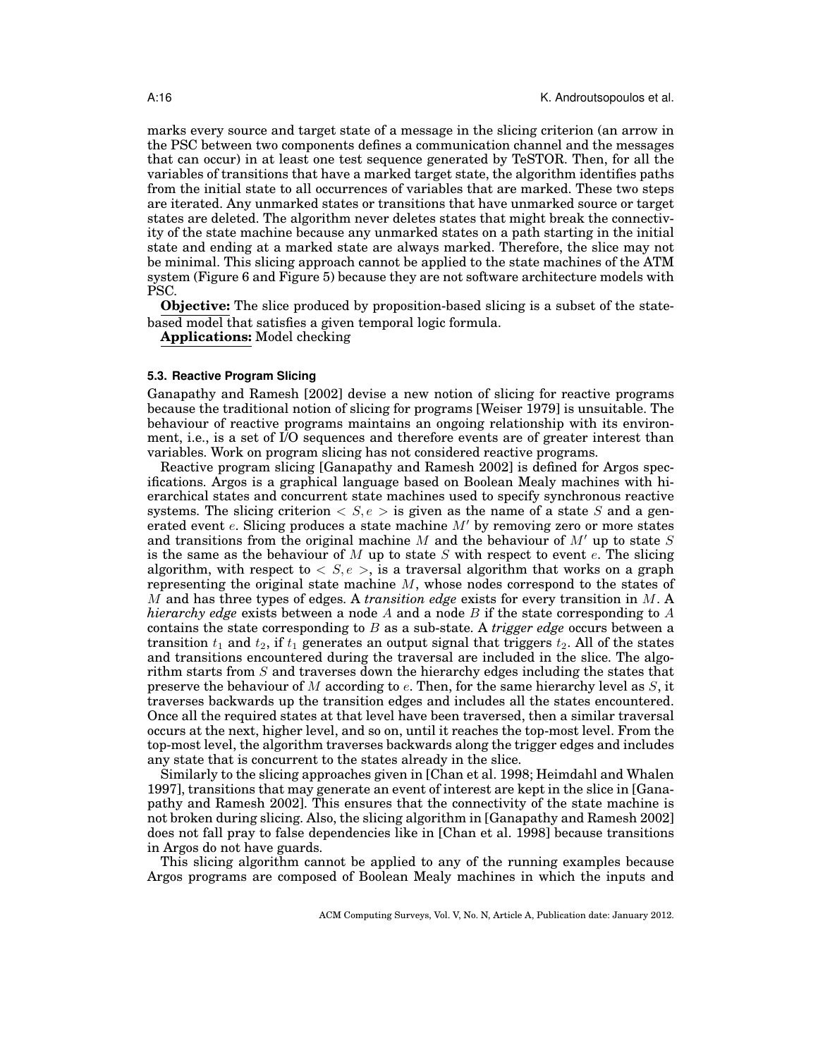marks every source and target state of a message in the slicing criterion (an arrow in the PSC between two components defines a communication channel and the messages that can occur) in at least one test sequence generated by TeSTOR. Then, for all the variables of transitions that have a marked target state, the algorithm identifies paths from the initial state to all occurrences of variables that are marked. These two steps are iterated. Any unmarked states or transitions that have unmarked source or target states are deleted. The algorithm never deletes states that might break the connectivity of the state machine because any unmarked states on a path starting in the initial state and ending at a marked state are always marked. Therefore, the slice may not be minimal. This slicing approach cannot be applied to the state machines of the ATM system (Figure 6 and Figure 5) because they are not software architecture models with PSC.

**Objective:** The slice produced by proposition-based slicing is a subset of the statebased model that satisfies a given temporal logic formula.

**Applications:** Model checking

#### **5.3. Reactive Program Slicing**

Ganapathy and Ramesh [2002] devise a new notion of slicing for reactive programs because the traditional notion of slicing for programs [Weiser 1979] is unsuitable. The behaviour of reactive programs maintains an ongoing relationship with its environment, i.e., is a set of I/O sequences and therefore events are of greater interest than variables. Work on program slicing has not considered reactive programs.

Reactive program slicing [Ganapathy and Ramesh 2002] is defined for Argos specifications. Argos is a graphical language based on Boolean Mealy machines with hierarchical states and concurrent state machines used to specify synchronous reactive systems. The slicing criterion  $\langle S, e \rangle$  is given as the name of a state S and a generated event  $e$ . Slicing produces a state machine  $M'$  by removing zero or more states and transitions from the original machine M and the behaviour of  $M'$  up to state S is the same as the behaviour of M up to state S with respect to event  $e$ . The slicing algorithm, with respect to  $\langle S, e \rangle$ , is a traversal algorithm that works on a graph representing the original state machine  $M$ , whose nodes correspond to the states of M and has three types of edges. A *transition edge* exists for every transition in M. A *hierarchy edge* exists between a node A and a node B if the state corresponding to A contains the state corresponding to B as a sub-state. A *trigger edge* occurs between a transition  $t_1$  and  $t_2$ , if  $t_1$  generates an output signal that triggers  $t_2$ . All of the states and transitions encountered during the traversal are included in the slice. The algorithm starts from S and traverses down the hierarchy edges including the states that preserve the behaviour of M according to  $e$ . Then, for the same hierarchy level as S, it traverses backwards up the transition edges and includes all the states encountered. Once all the required states at that level have been traversed, then a similar traversal occurs at the next, higher level, and so on, until it reaches the top-most level. From the top-most level, the algorithm traverses backwards along the trigger edges and includes any state that is concurrent to the states already in the slice.

Similarly to the slicing approaches given in [Chan et al. 1998; Heimdahl and Whalen 1997], transitions that may generate an event of interest are kept in the slice in [Ganapathy and Ramesh 2002]. This ensures that the connectivity of the state machine is not broken during slicing. Also, the slicing algorithm in [Ganapathy and Ramesh 2002] does not fall pray to false dependencies like in [Chan et al. 1998] because transitions in Argos do not have guards.

This slicing algorithm cannot be applied to any of the running examples because Argos programs are composed of Boolean Mealy machines in which the inputs and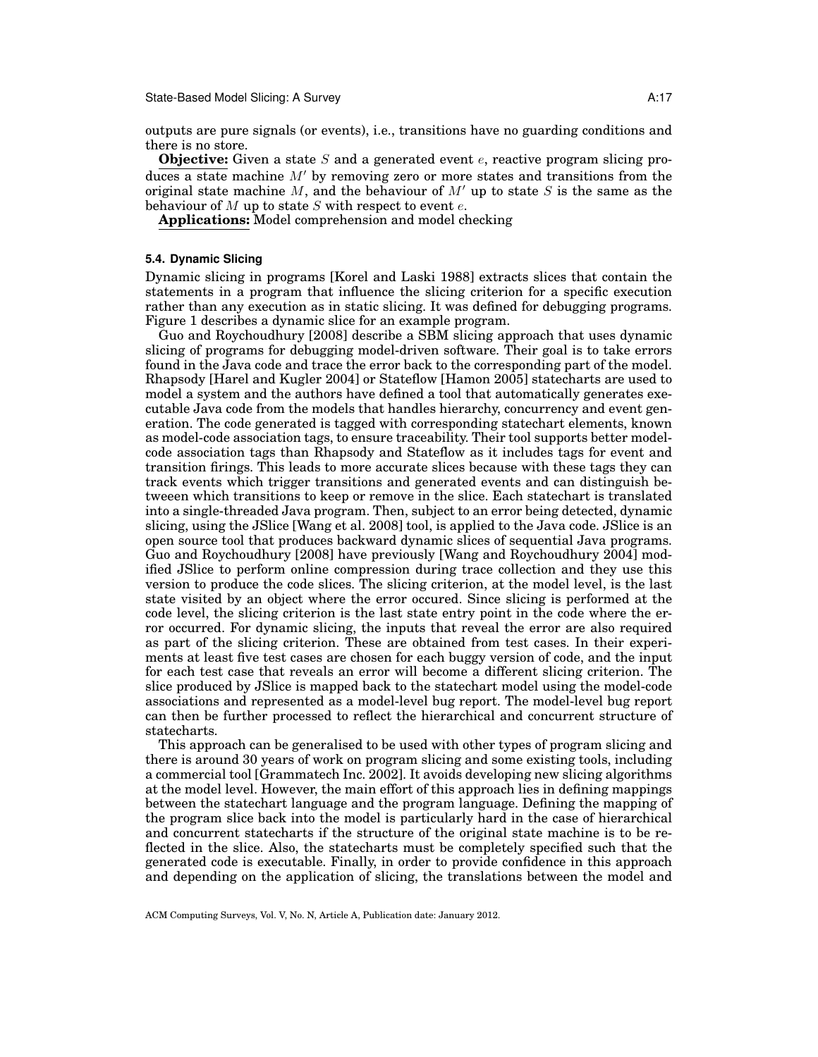State-Based Model Slicing: A Survey Attack and Attack and Attack Attack Attack Attack Attack Attack Attack Attack Attack Attack Attack Attack Attack Attack Attack Attack Attack Attack Attack Attack Attack Attack Attack Att

outputs are pure signals (or events), i.e., transitions have no guarding conditions and there is no store.

**Objective:** Given a state S and a generated event e, reactive program slicing produces a state machine  $M'$  by removing zero or more states and transitions from the original state machine M, and the behaviour of  $M'$  up to state S is the same as the behaviour of  $M$  up to state  $S$  with respect to event  $e$ .

**Applications:** Model comprehension and model checking

### **5.4. Dynamic Slicing**

Dynamic slicing in programs [Korel and Laski 1988] extracts slices that contain the statements in a program that influence the slicing criterion for a specific execution rather than any execution as in static slicing. It was defined for debugging programs. Figure 1 describes a dynamic slice for an example program.

Guo and Roychoudhury [2008] describe a SBM slicing approach that uses dynamic slicing of programs for debugging model-driven software. Their goal is to take errors found in the Java code and trace the error back to the corresponding part of the model. Rhapsody [Harel and Kugler 2004] or Stateflow [Hamon 2005] statecharts are used to model a system and the authors have defined a tool that automatically generates executable Java code from the models that handles hierarchy, concurrency and event generation. The code generated is tagged with corresponding statechart elements, known as model-code association tags, to ensure traceability. Their tool supports better modelcode association tags than Rhapsody and Stateflow as it includes tags for event and transition firings. This leads to more accurate slices because with these tags they can track events which trigger transitions and generated events and can distinguish betweeen which transitions to keep or remove in the slice. Each statechart is translated into a single-threaded Java program. Then, subject to an error being detected, dynamic slicing, using the JSlice [Wang et al. 2008] tool, is applied to the Java code. JSlice is an open source tool that produces backward dynamic slices of sequential Java programs. Guo and Roychoudhury [2008] have previously [Wang and Roychoudhury 2004] modified JSlice to perform online compression during trace collection and they use this version to produce the code slices. The slicing criterion, at the model level, is the last state visited by an object where the error occured. Since slicing is performed at the code level, the slicing criterion is the last state entry point in the code where the error occurred. For dynamic slicing, the inputs that reveal the error are also required as part of the slicing criterion. These are obtained from test cases. In their experiments at least five test cases are chosen for each buggy version of code, and the input for each test case that reveals an error will become a different slicing criterion. The slice produced by JSlice is mapped back to the statechart model using the model-code associations and represented as a model-level bug report. The model-level bug report can then be further processed to reflect the hierarchical and concurrent structure of statecharts.

This approach can be generalised to be used with other types of program slicing and there is around 30 years of work on program slicing and some existing tools, including a commercial tool [Grammatech Inc. 2002]. It avoids developing new slicing algorithms at the model level. However, the main effort of this approach lies in defining mappings between the statechart language and the program language. Defining the mapping of the program slice back into the model is particularly hard in the case of hierarchical and concurrent statecharts if the structure of the original state machine is to be reflected in the slice. Also, the statecharts must be completely specified such that the generated code is executable. Finally, in order to provide confidence in this approach and depending on the application of slicing, the translations between the model and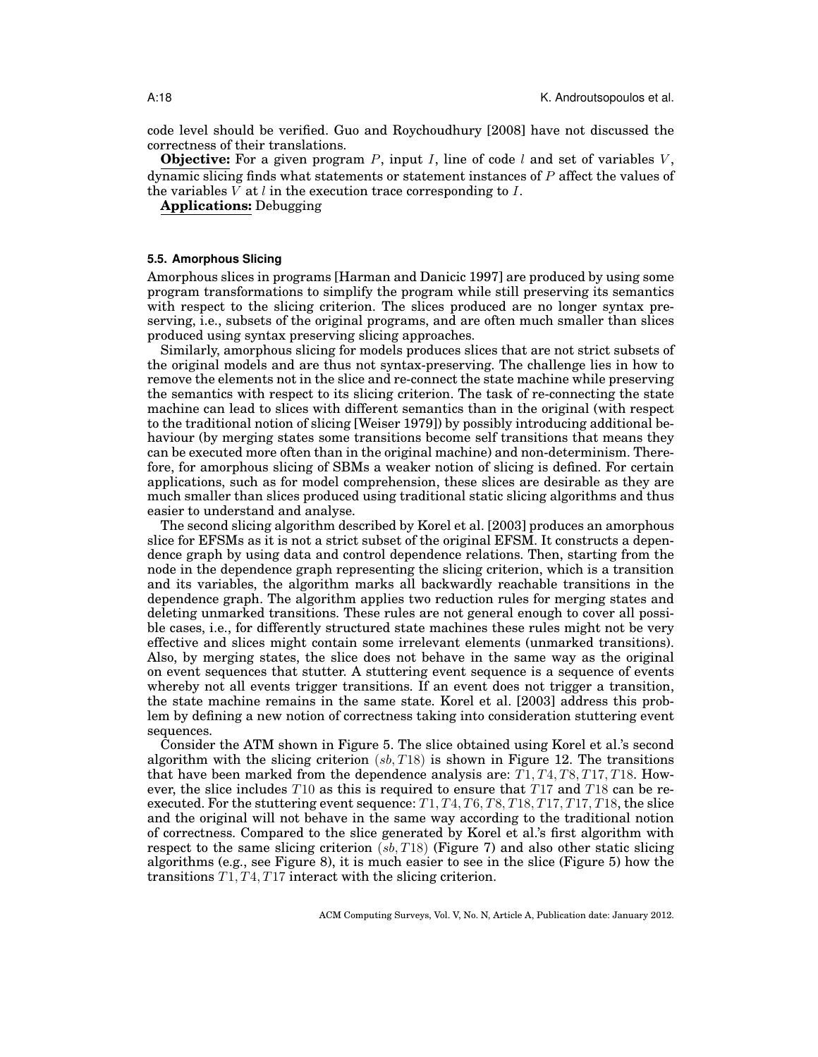code level should be verified. Guo and Roychoudhury [2008] have not discussed the correctness of their translations.

**Objective:** For a given program  $P$ , input I, line of code  $l$  and set of variables  $V$ , dynamic slicing finds what statements or statement instances of  $P$  affect the values of the variables  $\overline{V}$  at  $\overline{l}$  in the execution trace corresponding to  $\overline{I}$ .

**Applications:** Debugging

### **5.5. Amorphous Slicing**

Amorphous slices in programs [Harman and Danicic 1997] are produced by using some program transformations to simplify the program while still preserving its semantics with respect to the slicing criterion. The slices produced are no longer syntax preserving, i.e., subsets of the original programs, and are often much smaller than slices produced using syntax preserving slicing approaches.

Similarly, amorphous slicing for models produces slices that are not strict subsets of the original models and are thus not syntax-preserving. The challenge lies in how to remove the elements not in the slice and re-connect the state machine while preserving the semantics with respect to its slicing criterion. The task of re-connecting the state machine can lead to slices with different semantics than in the original (with respect to the traditional notion of slicing [Weiser 1979]) by possibly introducing additional behaviour (by merging states some transitions become self transitions that means they can be executed more often than in the original machine) and non-determinism. Therefore, for amorphous slicing of SBMs a weaker notion of slicing is defined. For certain applications, such as for model comprehension, these slices are desirable as they are much smaller than slices produced using traditional static slicing algorithms and thus easier to understand and analyse.

The second slicing algorithm described by Korel et al. [2003] produces an amorphous slice for EFSMs as it is not a strict subset of the original EFSM. It constructs a dependence graph by using data and control dependence relations. Then, starting from the node in the dependence graph representing the slicing criterion, which is a transition and its variables, the algorithm marks all backwardly reachable transitions in the dependence graph. The algorithm applies two reduction rules for merging states and deleting unmarked transitions. These rules are not general enough to cover all possible cases, i.e., for differently structured state machines these rules might not be very effective and slices might contain some irrelevant elements (unmarked transitions). Also, by merging states, the slice does not behave in the same way as the original on event sequences that stutter. A stuttering event sequence is a sequence of events whereby not all events trigger transitions. If an event does not trigger a transition, the state machine remains in the same state. Korel et al. [2003] address this problem by defining a new notion of correctness taking into consideration stuttering event sequences.

Consider the ATM shown in Figure 5. The slice obtained using Korel et al.'s second algorithm with the slicing criterion  $(s\bar{b}, T18)$  is shown in Figure 12. The transitions that have been marked from the dependence analysis are:  $T1, T4, T8, T17, T18$ . However, the slice includes  $T10$  as this is required to ensure that  $T17$  and  $T18$  can be reexecuted. For the stuttering event sequence:  $T1, T4, T6, T8, T18, T17, T17, T18$ , the slice and the original will not behave in the same way according to the traditional notion of correctness. Compared to the slice generated by Korel et al.'s first algorithm with respect to the same slicing criterion  $(s, T18)$  (Figure 7) and also other static slicing algorithms (e.g., see Figure 8), it is much easier to see in the slice (Figure 5) how the transitions T1, T4, T17 interact with the slicing criterion.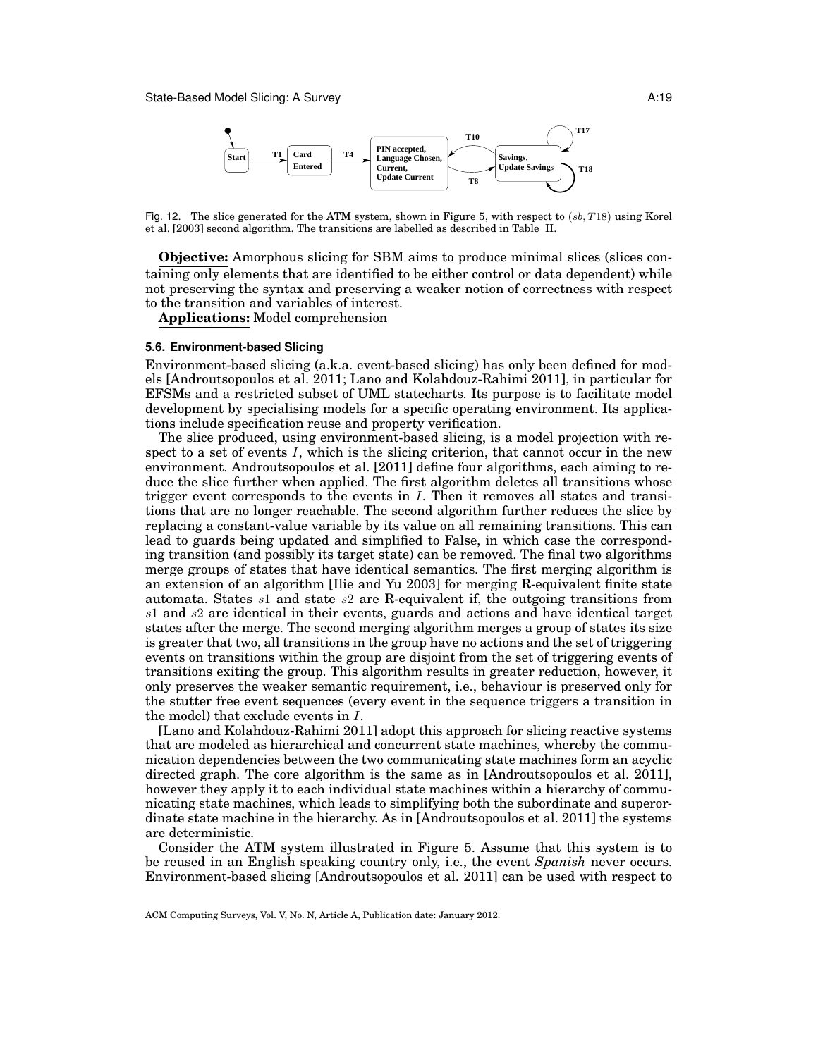

Fig. 12. The slice generated for the ATM system, shown in Figure 5, with respect to  $(sb, T18)$  using Korel et al. [2003] second algorithm. The transitions are labelled as described in Table II.

**Objective:** Amorphous slicing for SBM aims to produce minimal slices (slices containing only elements that are identified to be either control or data dependent) while not preserving the syntax and preserving a weaker notion of correctness with respect to the transition and variables of interest.

**Applications:** Model comprehension

#### **5.6. Environment-based Slicing**

Environment-based slicing (a.k.a. event-based slicing) has only been defined for models [Androutsopoulos et al. 2011; Lano and Kolahdouz-Rahimi 2011], in particular for EFSMs and a restricted subset of UML statecharts. Its purpose is to facilitate model development by specialising models for a specific operating environment. Its applications include specification reuse and property verification.

The slice produced, using environment-based slicing, is a model projection with respect to a set of events I, which is the slicing criterion, that cannot occur in the new environment. Androutsopoulos et al. [2011] define four algorithms, each aiming to reduce the slice further when applied. The first algorithm deletes all transitions whose trigger event corresponds to the events in  $I$ . Then it removes all states and transitions that are no longer reachable. The second algorithm further reduces the slice by replacing a constant-value variable by its value on all remaining transitions. This can lead to guards being updated and simplified to False, in which case the corresponding transition (and possibly its target state) can be removed. The final two algorithms merge groups of states that have identical semantics. The first merging algorithm is an extension of an algorithm [Ilie and Yu 2003] for merging R-equivalent finite state automata. States  $s1$  and state  $s2$  are R-equivalent if, the outgoing transitions from s1 and s2 are identical in their events, guards and actions and have identical target states after the merge. The second merging algorithm merges a group of states its size is greater that two, all transitions in the group have no actions and the set of triggering events on transitions within the group are disjoint from the set of triggering events of transitions exiting the group. This algorithm results in greater reduction, however, it only preserves the weaker semantic requirement, i.e., behaviour is preserved only for the stutter free event sequences (every event in the sequence triggers a transition in the model) that exclude events in I.

[Lano and Kolahdouz-Rahimi 2011] adopt this approach for slicing reactive systems that are modeled as hierarchical and concurrent state machines, whereby the communication dependencies between the two communicating state machines form an acyclic directed graph. The core algorithm is the same as in [Androutsopoulos et al. 2011], however they apply it to each individual state machines within a hierarchy of communicating state machines, which leads to simplifying both the subordinate and superordinate state machine in the hierarchy. As in [Androutsopoulos et al. 2011] the systems are deterministic.

Consider the ATM system illustrated in Figure 5. Assume that this system is to be reused in an English speaking country only, i.e., the event *Spanish* never occurs. Environment-based slicing [Androutsopoulos et al. 2011] can be used with respect to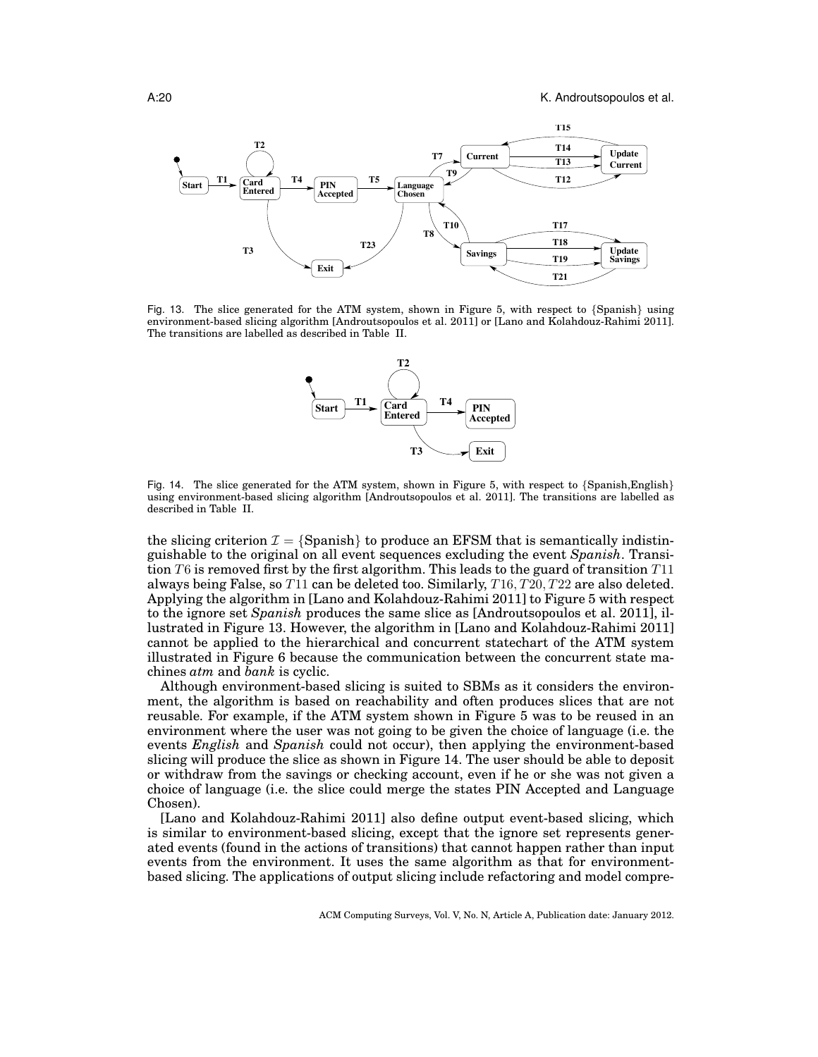

Fig. 13. The slice generated for the ATM system, shown in Figure 5, with respect to {Spanish} using environment-based slicing algorithm [Androutsopoulos et al. 2011] or [Lano and Kolahdouz-Rahimi 2011]. The transitions are labelled as described in Table II.



Fig. 14. The slice generated for the ATM system, shown in Figure 5, with respect to {Spanish,English} using environment-based slicing algorithm [Androutsopoulos et al. 2011]. The transitions are labelled as described in Table II.

the slicing criterion  $\mathcal{I} = \{ \text{Spanish} \}$  to produce an EFSM that is semantically indistinguishable to the original on all event sequences excluding the event *Spanish*. Transition  $T6$  is removed first by the first algorithm. This leads to the guard of transition  $T11$ always being False, so  $T11$  can be deleted too. Similarly,  $T16, T20, T22$  are also deleted. Applying the algorithm in [Lano and Kolahdouz-Rahimi 2011] to Figure 5 with respect to the ignore set *Spanish* produces the same slice as [Androutsopoulos et al. 2011], illustrated in Figure 13. However, the algorithm in [Lano and Kolahdouz-Rahimi 2011] cannot be applied to the hierarchical and concurrent statechart of the ATM system illustrated in Figure 6 because the communication between the concurrent state machines *atm* and *bank* is cyclic.

Although environment-based slicing is suited to SBMs as it considers the environment, the algorithm is based on reachability and often produces slices that are not reusable. For example, if the ATM system shown in Figure 5 was to be reused in an environment where the user was not going to be given the choice of language (i.e. the events *English* and *Spanish* could not occur), then applying the environment-based slicing will produce the slice as shown in Figure 14. The user should be able to deposit or withdraw from the savings or checking account, even if he or she was not given a choice of language (i.e. the slice could merge the states PIN Accepted and Language Chosen).

[Lano and Kolahdouz-Rahimi 2011] also define output event-based slicing, which is similar to environment-based slicing, except that the ignore set represents generated events (found in the actions of transitions) that cannot happen rather than input events from the environment. It uses the same algorithm as that for environmentbased slicing. The applications of output slicing include refactoring and model compre-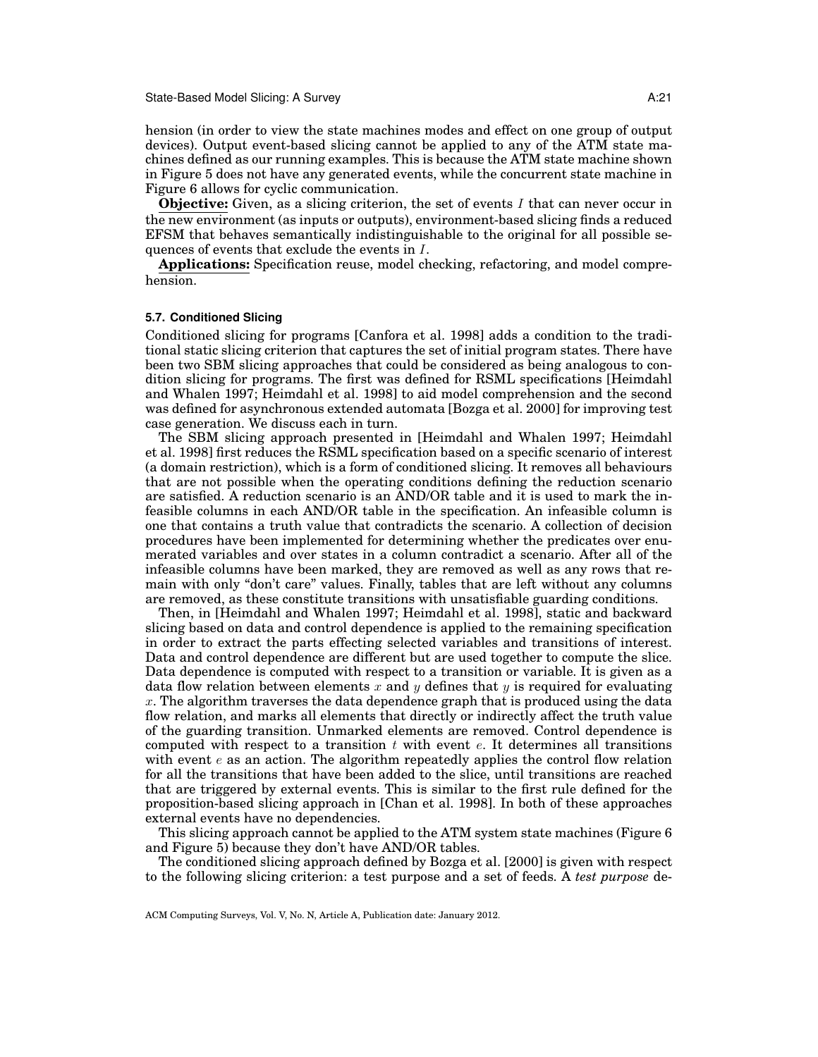hension (in order to view the state machines modes and effect on one group of output devices). Output event-based slicing cannot be applied to any of the ATM state machines defined as our running examples. This is because the ATM state machine shown in Figure 5 does not have any generated events, while the concurrent state machine in Figure 6 allows for cyclic communication.

**Objective:** Given, as a slicing criterion, the set of events I that can never occur in the new environment (as inputs or outputs), environment-based slicing finds a reduced EFSM that behaves semantically indistinguishable to the original for all possible sequences of events that exclude the events in I.

**Applications:** Specification reuse, model checking, refactoring, and model comprehension.

### **5.7. Conditioned Slicing**

Conditioned slicing for programs [Canfora et al. 1998] adds a condition to the traditional static slicing criterion that captures the set of initial program states. There have been two SBM slicing approaches that could be considered as being analogous to condition slicing for programs. The first was defined for RSML specifications [Heimdahl and Whalen 1997; Heimdahl et al. 1998] to aid model comprehension and the second was defined for asynchronous extended automata [Bozga et al. 2000] for improving test case generation. We discuss each in turn.

The SBM slicing approach presented in [Heimdahl and Whalen 1997; Heimdahl et al. 1998] first reduces the RSML specification based on a specific scenario of interest (a domain restriction), which is a form of conditioned slicing. It removes all behaviours that are not possible when the operating conditions defining the reduction scenario are satisfied. A reduction scenario is an AND/OR table and it is used to mark the infeasible columns in each AND/OR table in the specification. An infeasible column is one that contains a truth value that contradicts the scenario. A collection of decision procedures have been implemented for determining whether the predicates over enumerated variables and over states in a column contradict a scenario. After all of the infeasible columns have been marked, they are removed as well as any rows that remain with only "don't care" values. Finally, tables that are left without any columns are removed, as these constitute transitions with unsatisfiable guarding conditions.

Then, in [Heimdahl and Whalen 1997; Heimdahl et al. 1998], static and backward slicing based on data and control dependence is applied to the remaining specification in order to extract the parts effecting selected variables and transitions of interest. Data and control dependence are different but are used together to compute the slice. Data dependence is computed with respect to a transition or variable. It is given as a data flow relation between elements x and y defines that y is required for evaluating x. The algorithm traverses the data dependence graph that is produced using the data flow relation, and marks all elements that directly or indirectly affect the truth value of the guarding transition. Unmarked elements are removed. Control dependence is computed with respect to a transition  $t$  with event  $e$ . It determines all transitions with event  $e$  as an action. The algorithm repeatedly applies the control flow relation for all the transitions that have been added to the slice, until transitions are reached that are triggered by external events. This is similar to the first rule defined for the proposition-based slicing approach in [Chan et al. 1998]. In both of these approaches external events have no dependencies.

This slicing approach cannot be applied to the ATM system state machines (Figure 6 and Figure 5) because they don't have AND/OR tables.

The conditioned slicing approach defined by Bozga et al. [2000] is given with respect to the following slicing criterion: a test purpose and a set of feeds. A *test purpose* de-

ACM Computing Surveys, Vol. V, No. N, Article A, Publication date: January 2012.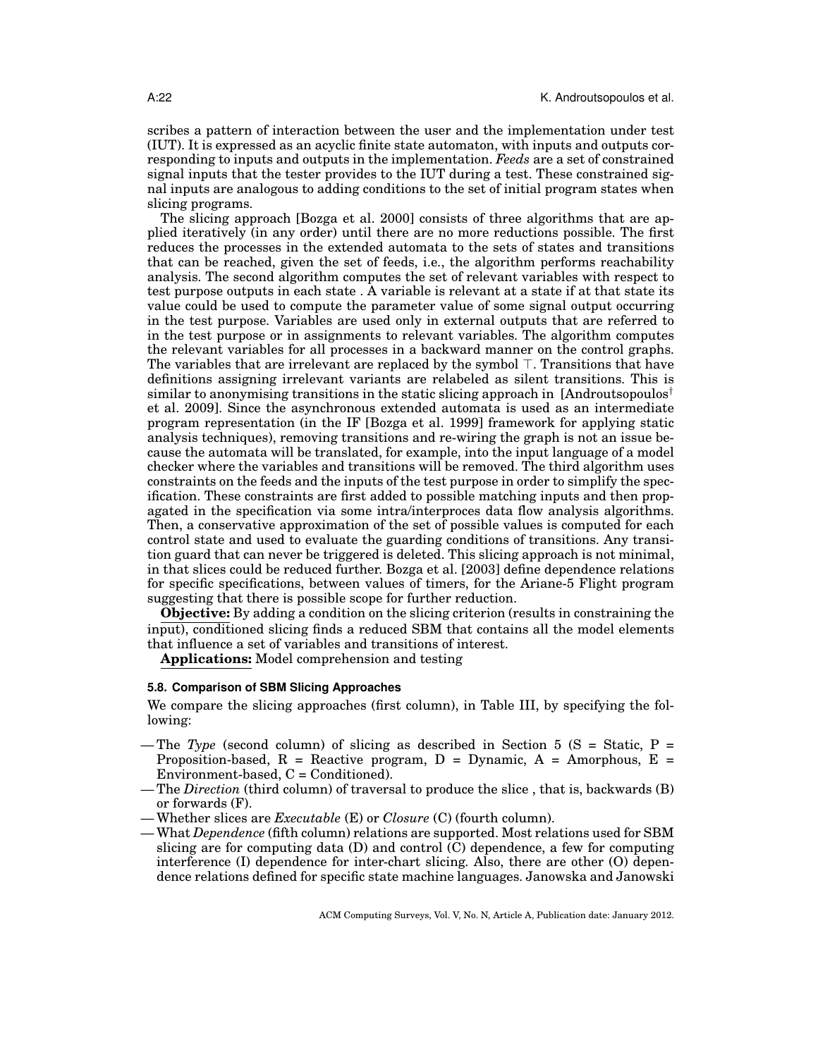scribes a pattern of interaction between the user and the implementation under test (IUT). It is expressed as an acyclic finite state automaton, with inputs and outputs corresponding to inputs and outputs in the implementation. *Feeds* are a set of constrained signal inputs that the tester provides to the IUT during a test. These constrained signal inputs are analogous to adding conditions to the set of initial program states when slicing programs.

The slicing approach [Bozga et al. 2000] consists of three algorithms that are applied iteratively (in any order) until there are no more reductions possible. The first reduces the processes in the extended automata to the sets of states and transitions that can be reached, given the set of feeds, i.e., the algorithm performs reachability analysis. The second algorithm computes the set of relevant variables with respect to test purpose outputs in each state . A variable is relevant at a state if at that state its value could be used to compute the parameter value of some signal output occurring in the test purpose. Variables are used only in external outputs that are referred to in the test purpose or in assignments to relevant variables. The algorithm computes the relevant variables for all processes in a backward manner on the control graphs. The variables that are irrelevant are replaced by the symbol  $\top$ . Transitions that have definitions assigning irrelevant variants are relabeled as silent transitions. This is similar to anonymising transitions in the static slicing approach in [Androutsopoulos<sup>†</sup> et al. 2009]. Since the asynchronous extended automata is used as an intermediate program representation (in the IF [Bozga et al. 1999] framework for applying static analysis techniques), removing transitions and re-wiring the graph is not an issue because the automata will be translated, for example, into the input language of a model checker where the variables and transitions will be removed. The third algorithm uses constraints on the feeds and the inputs of the test purpose in order to simplify the specification. These constraints are first added to possible matching inputs and then propagated in the specification via some intra/interproces data flow analysis algorithms. Then, a conservative approximation of the set of possible values is computed for each control state and used to evaluate the guarding conditions of transitions. Any transition guard that can never be triggered is deleted. This slicing approach is not minimal, in that slices could be reduced further. Bozga et al. [2003] define dependence relations for specific specifications, between values of timers, for the Ariane-5 Flight program suggesting that there is possible scope for further reduction.

**Objective:** By adding a condition on the slicing criterion (results in constraining the input), conditioned slicing finds a reduced SBM that contains all the model elements that influence a set of variables and transitions of interest.

**Applications:** Model comprehension and testing

### **5.8. Comparison of SBM Slicing Approaches**

We compare the slicing approaches (first column), in Table III, by specifying the following:

- The *Type* (second column) of slicing as described in Section 5 (S = Static, P = Proposition-based,  $R$  = Reactive program,  $D$  = Dynamic,  $A$  = Amorphous,  $E$  =  $Environment-based, C = Conditional$ .
- The *Direction* (third column) of traversal to produce the slice , that is, backwards (B) or forwards (F).
- Whether slices are *Executable* (E) or *Closure* (C) (fourth column).
- What *Dependence* (fifth column) relations are supported. Most relations used for SBM slicing are for computing data (D) and control (C) dependence, a few for computing interference (I) dependence for inter-chart slicing. Also, there are other (O) dependence relations defined for specific state machine languages. Janowska and Janowski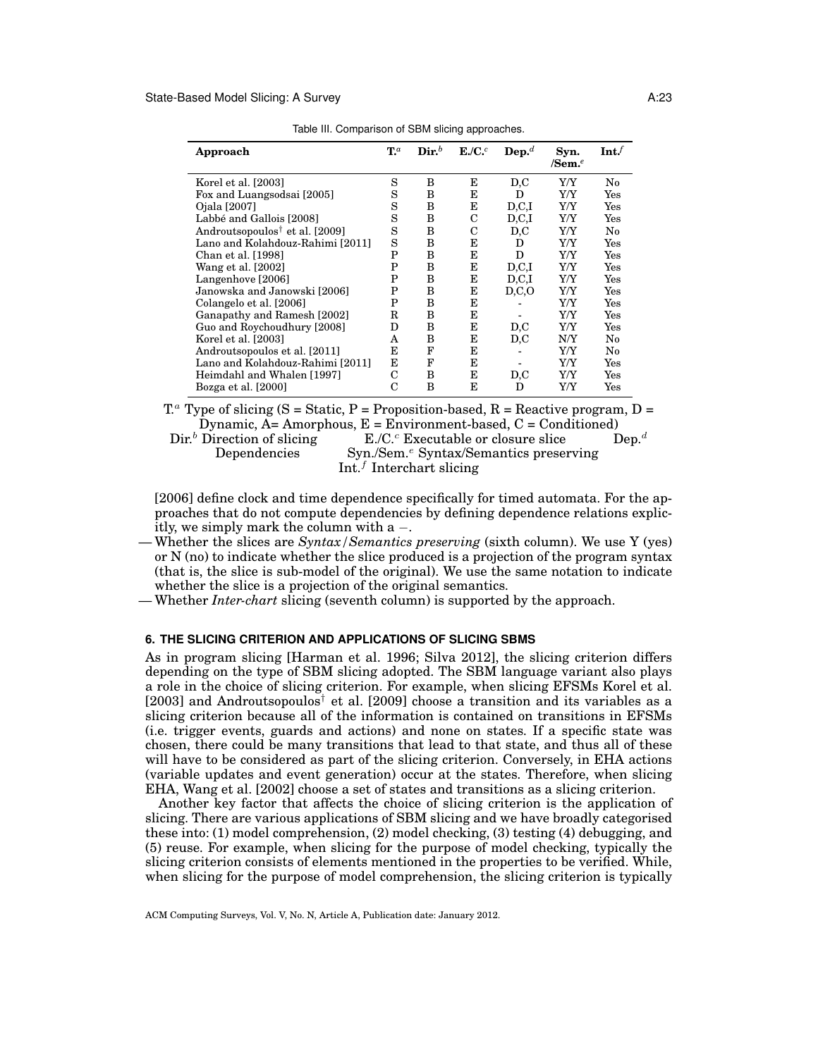| Approach                                                      | $\mathbf{T}^a$ | $\mathbf{Dir}^b$ | E.C. <sup>c</sup> | $\mathbf{Dep.}^d$ | Syn.<br>/Sem. $e$ | Int.                 |
|---------------------------------------------------------------|----------------|------------------|-------------------|-------------------|-------------------|----------------------|
| Korel et al. [2003]                                           | S              | B                | E                 | D, C              | Y/Y               | No                   |
| Fox and Luangsodsai [2005]                                    | S              | B                | E                 | D                 | Y/Y               | Yes                  |
| Ojala [2007]                                                  | S              | B                | Е                 | D, C, I           | Y/Y               | $\operatorname{Yes}$ |
| Labbé and Gallois [2008]                                      | S              | B                | C                 | D, C, I           | Y/Y               | $\operatorname{Yes}$ |
| Androutsopoulos <sup><math>\dagger</math></sup> et al. [2009] | S              | в                | С                 | D, C              | Y/Y               | No                   |
| Lano and Kolahdouz-Rahimi [2011]                              | S              | B                | E                 | D                 | Y/Y               | Yes                  |
| Chan et al. [1998]                                            | P              | B                | E                 | D                 | Y/Y               | Yes                  |
| Wang et al. [2002]                                            | P              | B                | E                 | D.C.I             | Y/Y               | Yes                  |
| Langenhove [2006]                                             | P              | B                | Е                 | D, C, I           | Y/Y               | $\operatorname{Yes}$ |
| Janowska and Janowski [2006]                                  | P              | B                | Е                 | D, C, O           | Y/Y               | Yes                  |
| Colangelo et al. [2006]                                       | P              | в                | E                 |                   | Y/Y               | $\operatorname{Yes}$ |
| Ganapathy and Ramesh [2002]                                   | $_{\rm R}$     | B                | E                 |                   | Y/Y               | Yes                  |
| Guo and Roychoudhury [2008]                                   | D              | в                | Е                 | D, C              | Y/Y               | $\operatorname{Yes}$ |
| Korel et al. [2003]                                           | A              | B                | Е                 | D.C               | N/Y               | No                   |
| Androutsopoulos et al. [2011]                                 | E              | F                | Е                 |                   | Y/Y               | No                   |
| Lano and Kolahdouz-Rahimi [2011]                              | E              | F                | E                 |                   | Y/Y               | Yes                  |
| Heimdahl and Whalen [1997]                                    | С              | B                | E                 | D, C              | Y/Y               | $\operatorname{Yes}$ |
| Bozga et al. [2000]                                           | C              | B                | F.                | D                 | Y/Y               | $\operatorname{Yes}$ |

Table III. Comparison of SBM slicing approaches.

 $T<sup>a</sup>$  Type of slicing (S = Static, P = Proposition-based, R = Reactive program, D = Dynamic, A= Amorphous, E = Environment-based, C = Conditioned)<br>Dir.<sup>b</sup> Direction of slicing E./C.<sup>c</sup> Executable or closure slice Dep.<sup>d</sup>

 $E.C.$ <sup>c</sup> Executable or closure slice Dependencies Syn./Sem.<sup>e</sup> Syntax/Semantics preserving Int. $f$  Interchart slicing

[2006] define clock and time dependence specifically for timed automata. For the approaches that do not compute dependencies by defining dependence relations explicitly, we simply mark the column with  $a -$ .

- Whether the slices are *Syntax/Semantics preserving* (sixth column). We use Y (yes) or N (no) to indicate whether the slice produced is a projection of the program syntax (that is, the slice is sub-model of the original). We use the same notation to indicate whether the slice is a projection of the original semantics.
- Whether *Inter-chart* slicing (seventh column) is supported by the approach.

## **6. THE SLICING CRITERION AND APPLICATIONS OF SLICING SBMS**

As in program slicing [Harman et al. 1996; Silva 2012], the slicing criterion differs depending on the type of SBM slicing adopted. The SBM language variant also plays a role in the choice of slicing criterion. For example, when slicing EFSMs Korel et al. [2003] and Androutsopoulos<sup>†</sup> et al. [2009] choose a transition and its variables as a slicing criterion because all of the information is contained on transitions in EFSMs (i.e. trigger events, guards and actions) and none on states. If a specific state was chosen, there could be many transitions that lead to that state, and thus all of these will have to be considered as part of the slicing criterion. Conversely, in EHA actions (variable updates and event generation) occur at the states. Therefore, when slicing EHA, Wang et al. [2002] choose a set of states and transitions as a slicing criterion.

Another key factor that affects the choice of slicing criterion is the application of slicing. There are various applications of SBM slicing and we have broadly categorised these into: (1) model comprehension, (2) model checking, (3) testing (4) debugging, and (5) reuse. For example, when slicing for the purpose of model checking, typically the slicing criterion consists of elements mentioned in the properties to be verified. While, when slicing for the purpose of model comprehension, the slicing criterion is typically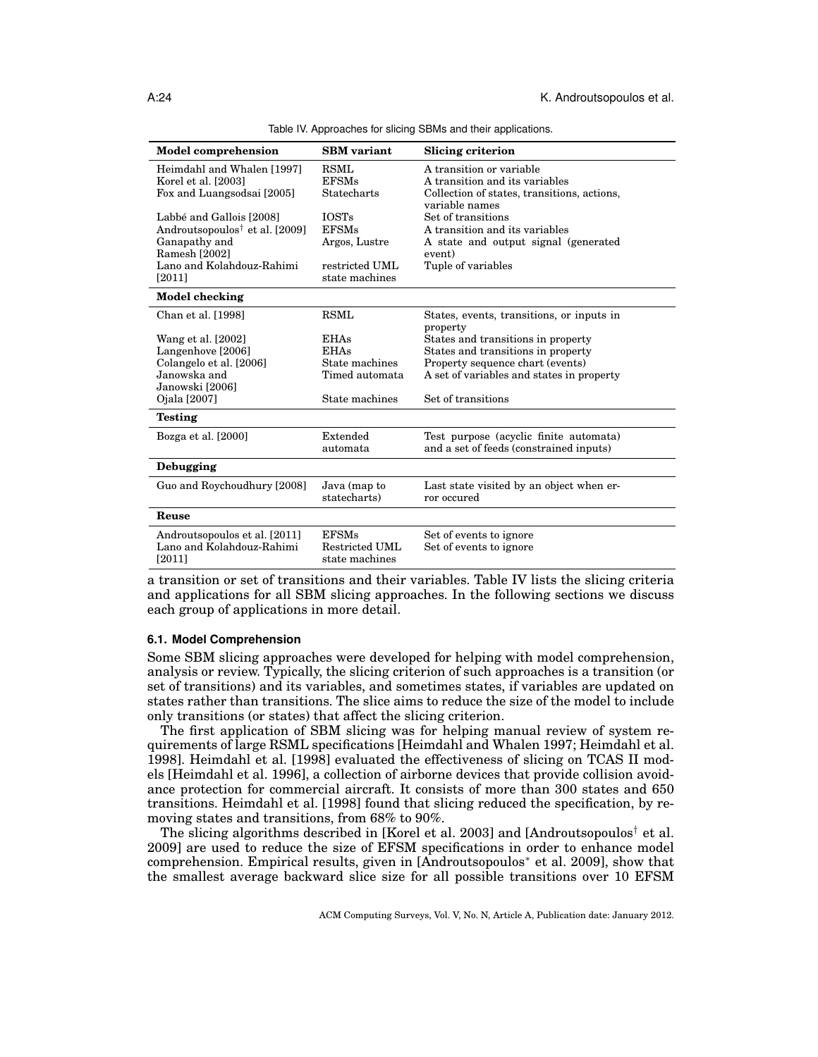| <b>Model comprehension</b>                                                   | <b>SBM</b> variant                               | Slicing criterion                                                                 |
|------------------------------------------------------------------------------|--------------------------------------------------|-----------------------------------------------------------------------------------|
| Heimdahl and Whalen [1997]<br>Korel et al. [2003]                            | <b>RSML</b><br><b>EFSMs</b>                      | A transition or variable<br>A transition and its variables                        |
| Fox and Luangsodsai [2005]                                                   | Statecharts                                      | Collection of states, transitions, actions,<br>variable names                     |
| Labbé and Gallois [2008]                                                     | <b>IOSTs</b>                                     | Set of transitions                                                                |
| Androutsopoulos <sup>†</sup> et al. [2009]<br>Ganapathy and<br>Ramesh [2002] | <b>EFSMs</b><br>Argos, Lustre                    | A transition and its variables<br>A state and output signal (generated<br>event)  |
| Lano and Kolahdouz-Rahimi<br>[2011]                                          | restricted UML<br>state machines                 | Tuple of variables                                                                |
| Model checking                                                               |                                                  |                                                                                   |
| Chan et al. [1998]                                                           | <b>RSML</b>                                      | States, events, transitions, or inputs in<br>property                             |
| Wang et al. [2002]                                                           | <b>EHAs</b>                                      | States and transitions in property                                                |
| Langenhove [2006]                                                            | <b>EHAs</b><br>State machines                    | States and transitions in property                                                |
| Colangelo et al. [2006]<br>Janowska and                                      | Timed automata                                   | Property sequence chart (events)<br>A set of variables and states in property     |
| Janowski [2006]                                                              |                                                  |                                                                                   |
| Ojala [2007]                                                                 | State machines                                   | Set of transitions                                                                |
| <b>Testing</b>                                                               |                                                  |                                                                                   |
| Bozga et al. [2000]                                                          | Extended<br>automata                             | Test purpose (acyclic finite automata)<br>and a set of feeds (constrained inputs) |
| Debugging                                                                    |                                                  |                                                                                   |
| Guo and Roychoudhury [2008]                                                  | Java (map to<br>statecharts)                     | Last state visited by an object when er-<br>ror occured                           |
| Reuse                                                                        |                                                  |                                                                                   |
| Androutsopoulos et al. [2011]<br>Lano and Kolahdouz-Rahimi<br>[2011]         | <b>EFSMs</b><br>Restricted UML<br>state machines | Set of events to ignore<br>Set of events to ignore                                |

Table IV. Approaches for slicing SBMs and their applications.

a transition or set of transitions and their variables. Table IV lists the slicing criteria and applications for all SBM slicing approaches. In the following sections we discuss each group of applications in more detail.

## **6.1. Model Comprehension**

Some SBM slicing approaches were developed for helping with model comprehension, analysis or review. Typically, the slicing criterion of such approaches is a transition (or set of transitions) and its variables, and sometimes states, if variables are updated on states rather than transitions. The slice aims to reduce the size of the model to include only transitions (or states) that affect the slicing criterion.

The first application of SBM slicing was for helping manual review of system requirements of large RSML specifications [Heimdahl and Whalen 1997; Heimdahl et al. 1998]. Heimdahl et al. [1998] evaluated the effectiveness of slicing on TCAS II models [Heimdahl et al. 1996], a collection of airborne devices that provide collision avoidance protection for commercial aircraft. It consists of more than 300 states and 650 transitions. Heimdahl et al. [1998] found that slicing reduced the specification, by removing states and transitions, from 68% to 90%.

The slicing algorithms described in [Korel et al. 2003] and [Androutsopoulos<sup>†</sup> et al. 2009] are used to reduce the size of EFSM specifications in order to enhance model comprehension. Empirical results, given in [Androutsopoulos<sup>∗</sup> et al. 2009], show that the smallest average backward slice size for all possible transitions over 10 EFSM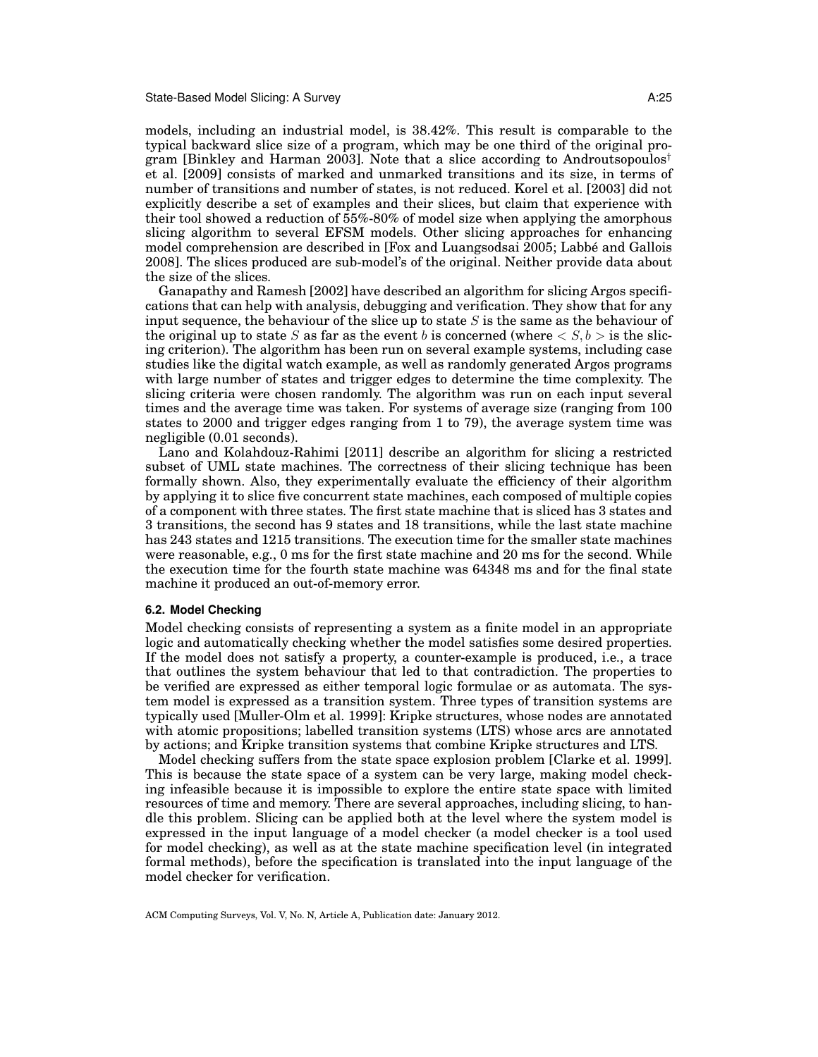models, including an industrial model, is 38.42%. This result is comparable to the typical backward slice size of a program, which may be one third of the original program [Binkley and Harman 2003]. Note that a slice according to Androutsopoulos<sup>†</sup> et al. [2009] consists of marked and unmarked transitions and its size, in terms of number of transitions and number of states, is not reduced. Korel et al. [2003] did not explicitly describe a set of examples and their slices, but claim that experience with their tool showed a reduction of 55%-80% of model size when applying the amorphous slicing algorithm to several EFSM models. Other slicing approaches for enhancing model comprehension are described in [Fox and Luangsodsai 2005; Labbe and Gallois ´ 2008]. The slices produced are sub-model's of the original. Neither provide data about the size of the slices.

Ganapathy and Ramesh [2002] have described an algorithm for slicing Argos specifications that can help with analysis, debugging and verification. They show that for any input sequence, the behaviour of the slice up to state  $S$  is the same as the behaviour of the original up to state S as far as the event b is concerned (where  $\langle S, b \rangle$  is the slicing criterion). The algorithm has been run on several example systems, including case studies like the digital watch example, as well as randomly generated Argos programs with large number of states and trigger edges to determine the time complexity. The slicing criteria were chosen randomly. The algorithm was run on each input several times and the average time was taken. For systems of average size (ranging from 100 states to 2000 and trigger edges ranging from 1 to 79), the average system time was negligible (0.01 seconds).

Lano and Kolahdouz-Rahimi [2011] describe an algorithm for slicing a restricted subset of UML state machines. The correctness of their slicing technique has been formally shown. Also, they experimentally evaluate the efficiency of their algorithm by applying it to slice five concurrent state machines, each composed of multiple copies of a component with three states. The first state machine that is sliced has 3 states and 3 transitions, the second has 9 states and 18 transitions, while the last state machine has 243 states and 1215 transitions. The execution time for the smaller state machines were reasonable, e.g., 0 ms for the first state machine and 20 ms for the second. While the execution time for the fourth state machine was 64348 ms and for the final state machine it produced an out-of-memory error.

### **6.2. Model Checking**

Model checking consists of representing a system as a finite model in an appropriate logic and automatically checking whether the model satisfies some desired properties. If the model does not satisfy a property, a counter-example is produced, i.e., a trace that outlines the system behaviour that led to that contradiction. The properties to be verified are expressed as either temporal logic formulae or as automata. The system model is expressed as a transition system. Three types of transition systems are typically used [Muller-Olm et al. 1999]: Kripke structures, whose nodes are annotated with atomic propositions; labelled transition systems (LTS) whose arcs are annotated by actions; and Kripke transition systems that combine Kripke structures and LTS.

Model checking suffers from the state space explosion problem [Clarke et al. 1999]. This is because the state space of a system can be very large, making model checking infeasible because it is impossible to explore the entire state space with limited resources of time and memory. There are several approaches, including slicing, to handle this problem. Slicing can be applied both at the level where the system model is expressed in the input language of a model checker (a model checker is a tool used for model checking), as well as at the state machine specification level (in integrated formal methods), before the specification is translated into the input language of the model checker for verification.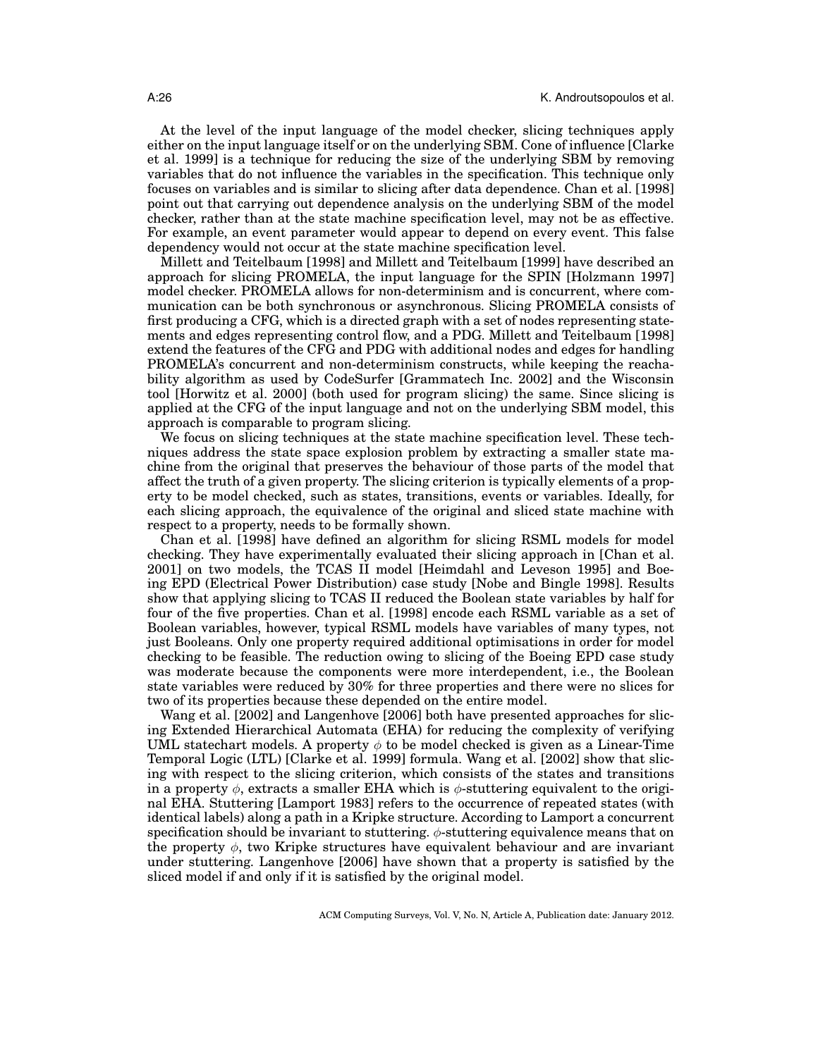At the level of the input language of the model checker, slicing techniques apply either on the input language itself or on the underlying SBM. Cone of influence [Clarke et al. 1999] is a technique for reducing the size of the underlying SBM by removing variables that do not influence the variables in the specification. This technique only focuses on variables and is similar to slicing after data dependence. Chan et al. [1998] point out that carrying out dependence analysis on the underlying SBM of the model checker, rather than at the state machine specification level, may not be as effective. For example, an event parameter would appear to depend on every event. This false dependency would not occur at the state machine specification level.

Millett and Teitelbaum [1998] and Millett and Teitelbaum [1999] have described an approach for slicing PROMELA, the input language for the SPIN [Holzmann 1997] model checker. PROMELA allows for non-determinism and is concurrent, where communication can be both synchronous or asynchronous. Slicing PROMELA consists of first producing a CFG, which is a directed graph with a set of nodes representing statements and edges representing control flow, and a PDG. Millett and Teitelbaum [1998] extend the features of the CFG and PDG with additional nodes and edges for handling PROMELA's concurrent and non-determinism constructs, while keeping the reachability algorithm as used by CodeSurfer [Grammatech Inc. 2002] and the Wisconsin tool [Horwitz et al. 2000] (both used for program slicing) the same. Since slicing is applied at the CFG of the input language and not on the underlying SBM model, this approach is comparable to program slicing.

We focus on slicing techniques at the state machine specification level. These techniques address the state space explosion problem by extracting a smaller state machine from the original that preserves the behaviour of those parts of the model that affect the truth of a given property. The slicing criterion is typically elements of a property to be model checked, such as states, transitions, events or variables. Ideally, for each slicing approach, the equivalence of the original and sliced state machine with respect to a property, needs to be formally shown.

Chan et al. [1998] have defined an algorithm for slicing RSML models for model checking. They have experimentally evaluated their slicing approach in [Chan et al. 2001] on two models, the TCAS II model [Heimdahl and Leveson 1995] and Boeing EPD (Electrical Power Distribution) case study [Nobe and Bingle 1998]. Results show that applying slicing to TCAS II reduced the Boolean state variables by half for four of the five properties. Chan et al. [1998] encode each RSML variable as a set of Boolean variables, however, typical RSML models have variables of many types, not just Booleans. Only one property required additional optimisations in order for model checking to be feasible. The reduction owing to slicing of the Boeing EPD case study was moderate because the components were more interdependent, i.e., the Boolean state variables were reduced by 30% for three properties and there were no slices for two of its properties because these depended on the entire model.

Wang et al. [2002] and Langenhove [2006] both have presented approaches for slicing Extended Hierarchical Automata (EHA) for reducing the complexity of verifying UML statechart models. A property  $\phi$  to be model checked is given as a Linear-Time Temporal Logic (LTL) [Clarke et al. 1999] formula. Wang et al. [2002] show that slicing with respect to the slicing criterion, which consists of the states and transitions in a property  $\phi$ , extracts a smaller EHA which is  $\phi$ -stuttering equivalent to the original EHA. Stuttering [Lamport 1983] refers to the occurrence of repeated states (with identical labels) along a path in a Kripke structure. According to Lamport a concurrent specification should be invariant to stuttering.  $\phi$ -stuttering equivalence means that on the property  $\phi$ , two Kripke structures have equivalent behaviour and are invariant under stuttering. Langenhove [2006] have shown that a property is satisfied by the sliced model if and only if it is satisfied by the original model.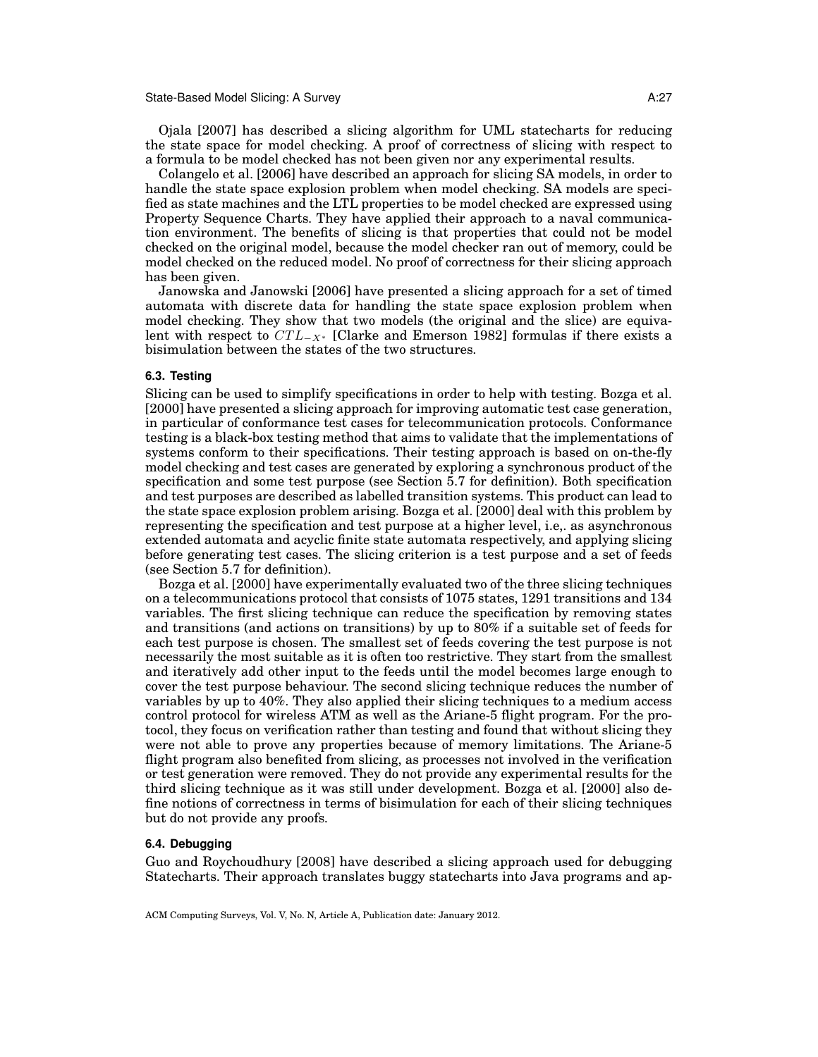Ojala [2007] has described a slicing algorithm for UML statecharts for reducing the state space for model checking. A proof of correctness of slicing with respect to a formula to be model checked has not been given nor any experimental results.

Colangelo et al. [2006] have described an approach for slicing SA models, in order to handle the state space explosion problem when model checking. SA models are specified as state machines and the LTL properties to be model checked are expressed using Property Sequence Charts. They have applied their approach to a naval communication environment. The benefits of slicing is that properties that could not be model checked on the original model, because the model checker ran out of memory, could be model checked on the reduced model. No proof of correctness for their slicing approach has been given.

Janowska and Janowski [2006] have presented a slicing approach for a set of timed automata with discrete data for handling the state space explosion problem when model checking. They show that two models (the original and the slice) are equivalent with respect to  $CTL_{-X^*}$  [Clarke and Emerson 1982] formulas if there exists a bisimulation between the states of the two structures.

### **6.3. Testing**

Slicing can be used to simplify specifications in order to help with testing. Bozga et al. [2000] have presented a slicing approach for improving automatic test case generation, in particular of conformance test cases for telecommunication protocols. Conformance testing is a black-box testing method that aims to validate that the implementations of systems conform to their specifications. Their testing approach is based on on-the-fly model checking and test cases are generated by exploring a synchronous product of the specification and some test purpose (see Section 5.7 for definition). Both specification and test purposes are described as labelled transition systems. This product can lead to the state space explosion problem arising. Bozga et al. [2000] deal with this problem by representing the specification and test purpose at a higher level, i.e,. as asynchronous extended automata and acyclic finite state automata respectively, and applying slicing before generating test cases. The slicing criterion is a test purpose and a set of feeds (see Section 5.7 for definition).

Bozga et al. [2000] have experimentally evaluated two of the three slicing techniques on a telecommunications protocol that consists of 1075 states, 1291 transitions and 134 variables. The first slicing technique can reduce the specification by removing states and transitions (and actions on transitions) by up to 80% if a suitable set of feeds for each test purpose is chosen. The smallest set of feeds covering the test purpose is not necessarily the most suitable as it is often too restrictive. They start from the smallest and iteratively add other input to the feeds until the model becomes large enough to cover the test purpose behaviour. The second slicing technique reduces the number of variables by up to 40%. They also applied their slicing techniques to a medium access control protocol for wireless ATM as well as the Ariane-5 flight program. For the protocol, they focus on verification rather than testing and found that without slicing they were not able to prove any properties because of memory limitations. The Ariane-5 flight program also benefited from slicing, as processes not involved in the verification or test generation were removed. They do not provide any experimental results for the third slicing technique as it was still under development. Bozga et al. [2000] also define notions of correctness in terms of bisimulation for each of their slicing techniques but do not provide any proofs.

### **6.4. Debugging**

Guo and Roychoudhury [2008] have described a slicing approach used for debugging Statecharts. Their approach translates buggy statecharts into Java programs and ap-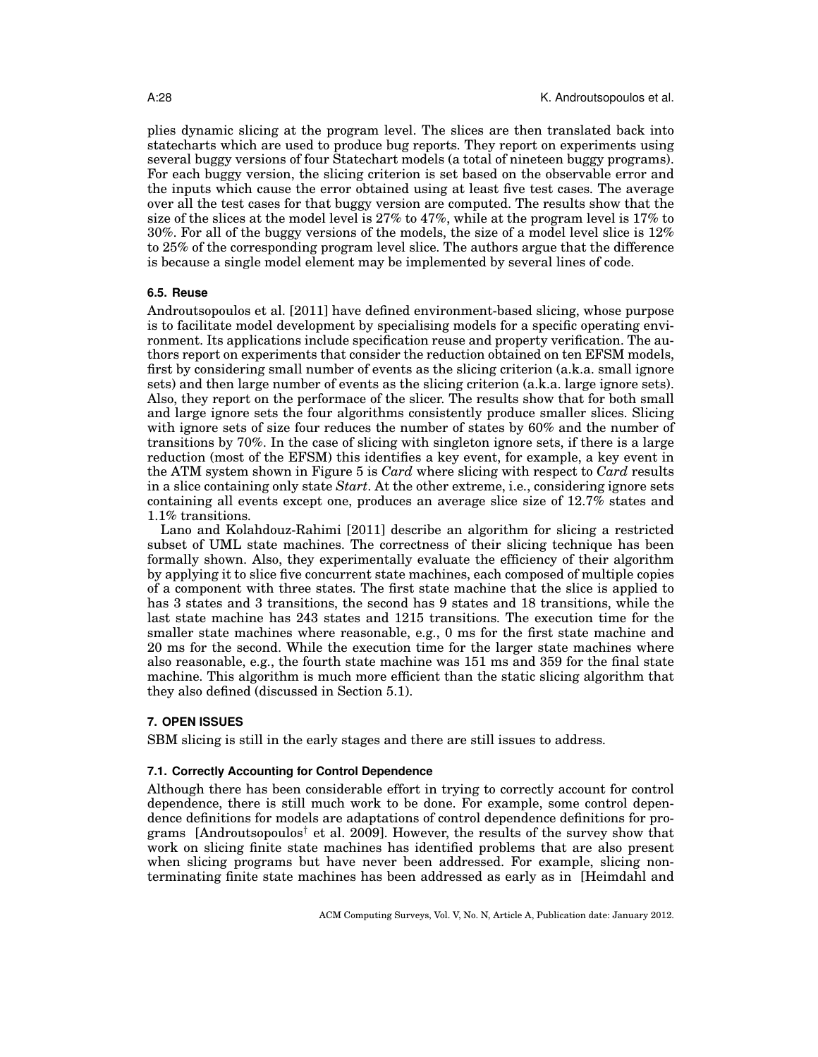plies dynamic slicing at the program level. The slices are then translated back into statecharts which are used to produce bug reports. They report on experiments using several buggy versions of four Statechart models (a total of nineteen buggy programs). For each buggy version, the slicing criterion is set based on the observable error and the inputs which cause the error obtained using at least five test cases. The average over all the test cases for that buggy version are computed. The results show that the size of the slices at the model level is 27% to 47%, while at the program level is 17% to 30%. For all of the buggy versions of the models, the size of a model level slice is 12% to 25% of the corresponding program level slice. The authors argue that the difference is because a single model element may be implemented by several lines of code.

# **6.5. Reuse**

Androutsopoulos et al. [2011] have defined environment-based slicing, whose purpose is to facilitate model development by specialising models for a specific operating environment. Its applications include specification reuse and property verification. The authors report on experiments that consider the reduction obtained on ten EFSM models, first by considering small number of events as the slicing criterion (a.k.a. small ignore sets) and then large number of events as the slicing criterion (a.k.a. large ignore sets). Also, they report on the performace of the slicer. The results show that for both small and large ignore sets the four algorithms consistently produce smaller slices. Slicing with ignore sets of size four reduces the number of states by 60% and the number of transitions by 70%. In the case of slicing with singleton ignore sets, if there is a large reduction (most of the EFSM) this identifies a key event, for example, a key event in the ATM system shown in Figure 5 is *Card* where slicing with respect to *Card* results in a slice containing only state *Start*. At the other extreme, i.e., considering ignore sets containing all events except one, produces an average slice size of 12.7% states and 1.1% transitions.

Lano and Kolahdouz-Rahimi [2011] describe an algorithm for slicing a restricted subset of UML state machines. The correctness of their slicing technique has been formally shown. Also, they experimentally evaluate the efficiency of their algorithm by applying it to slice five concurrent state machines, each composed of multiple copies of a component with three states. The first state machine that the slice is applied to has 3 states and 3 transitions, the second has 9 states and 18 transitions, while the last state machine has 243 states and 1215 transitions. The execution time for the smaller state machines where reasonable, e.g., 0 ms for the first state machine and 20 ms for the second. While the execution time for the larger state machines where also reasonable, e.g., the fourth state machine was 151 ms and 359 for the final state machine. This algorithm is much more efficient than the static slicing algorithm that they also defined (discussed in Section 5.1).

### **7. OPEN ISSUES**

SBM slicing is still in the early stages and there are still issues to address.

### **7.1. Correctly Accounting for Control Dependence**

Although there has been considerable effort in trying to correctly account for control dependence, there is still much work to be done. For example, some control dependence definitions for models are adaptations of control dependence definitions for programs [Androutsopoulos<sup>†</sup> et al. 2009]. However, the results of the survey show that work on slicing finite state machines has identified problems that are also present when slicing programs but have never been addressed. For example, slicing nonterminating finite state machines has been addressed as early as in [Heimdahl and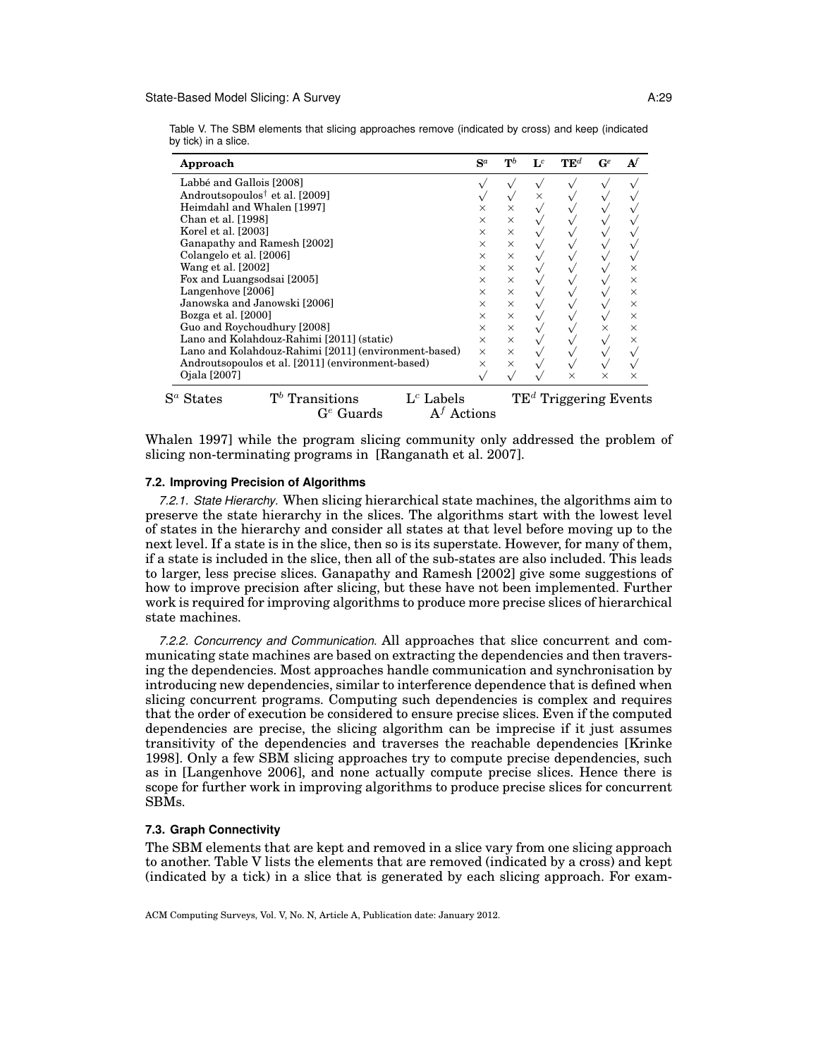#### State-Based Model Slicing: A Survey A:29

Table V. The SBM elements that slicing approaches remove (indicated by cross) and keep (indicated by tick) in a slice.

| Approach                                                   | $S^a$                                   | $\mathbf{T}^b$          | $\mathbf{L}^c$ | $\mathbf{TE}^d$ | $\mathbf{G}^e$ |          |
|------------------------------------------------------------|-----------------------------------------|-------------------------|----------------|-----------------|----------------|----------|
| Labbé and Gallois [2008]                                   |                                         |                         |                |                 |                |          |
| Androutsopoulos <sup>†</sup> et al. [2009]                 |                                         |                         | $\times$       |                 |                |          |
| Heimdahl and Whalen [1997]                                 | $\times$                                | $\times$                |                |                 |                |          |
| Chan et al. [1998]                                         | $\times$                                | $\times$                |                |                 |                |          |
| Korel et al. [2003]                                        | $\times$                                | $\times$                |                |                 |                |          |
| Ganapathy and Ramesh [2002]                                | $\times$                                | $\times$                |                |                 |                |          |
| Colangelo et al. [2006]                                    | $\times$                                | $\times$                |                |                 |                |          |
| Wang et al. [2002]                                         | $\times$                                | $\times$                |                |                 |                | ×        |
| Fox and Luangsodsai [2005]                                 | $\times$                                | $\times$                |                |                 |                | ×        |
| Langenhove [2006]                                          | $\times$                                | $\times$                |                |                 |                | $\times$ |
| Janowska and Janowski [2006]                               | $\times$                                | $\times$                |                |                 |                | $\times$ |
| Bozga et al. [2000]                                        | $\times$                                | $\times$                |                |                 |                | $\times$ |
| Guo and Roychoudhury [2008]                                | $\times$                                | $\times$                |                |                 | ×              | $\times$ |
| Lano and Kolahdouz-Rahimi [2011] (static)                  | $\times$                                | $\times$                |                |                 |                | $\times$ |
| Lano and Kolahdouz-Rahimi [2011] (environment-based)       | $\times$                                | $\times$                |                |                 |                |          |
| Androutsopoulos et al. [2011] (environment-based)          | $\times$                                | $\times$                |                |                 |                |          |
| Ojala [2007]                                               |                                         |                         |                | $\times$        | $\times$       | $\times$ |
| $T^b$ Transitions<br>$S^a$ States<br>$\mathrm{G}^e$ Guards | $Lc$ Labels<br>$\mathrm{A}^{f}$ Actions | $TEd$ Triggering Events |                |                 |                |          |

Whalen 1997] while the program slicing community only addressed the problem of slicing non-terminating programs in [Ranganath et al. 2007].

### **7.2. Improving Precision of Algorithms**

*7.2.1. State Hierarchy.* When slicing hierarchical state machines, the algorithms aim to preserve the state hierarchy in the slices. The algorithms start with the lowest level of states in the hierarchy and consider all states at that level before moving up to the next level. If a state is in the slice, then so is its superstate. However, for many of them, if a state is included in the slice, then all of the sub-states are also included. This leads to larger, less precise slices. Ganapathy and Ramesh [2002] give some suggestions of how to improve precision after slicing, but these have not been implemented. Further work is required for improving algorithms to produce more precise slices of hierarchical state machines.

*7.2.2. Concurrency and Communication.* All approaches that slice concurrent and communicating state machines are based on extracting the dependencies and then traversing the dependencies. Most approaches handle communication and synchronisation by introducing new dependencies, similar to interference dependence that is defined when slicing concurrent programs. Computing such dependencies is complex and requires that the order of execution be considered to ensure precise slices. Even if the computed dependencies are precise, the slicing algorithm can be imprecise if it just assumes transitivity of the dependencies and traverses the reachable dependencies [Krinke 1998]. Only a few SBM slicing approaches try to compute precise dependencies, such as in [Langenhove 2006], and none actually compute precise slices. Hence there is scope for further work in improving algorithms to produce precise slices for concurrent SBMs.

### **7.3. Graph Connectivity**

The SBM elements that are kept and removed in a slice vary from one slicing approach to another. Table V lists the elements that are removed (indicated by a cross) and kept (indicated by a tick) in a slice that is generated by each slicing approach. For exam-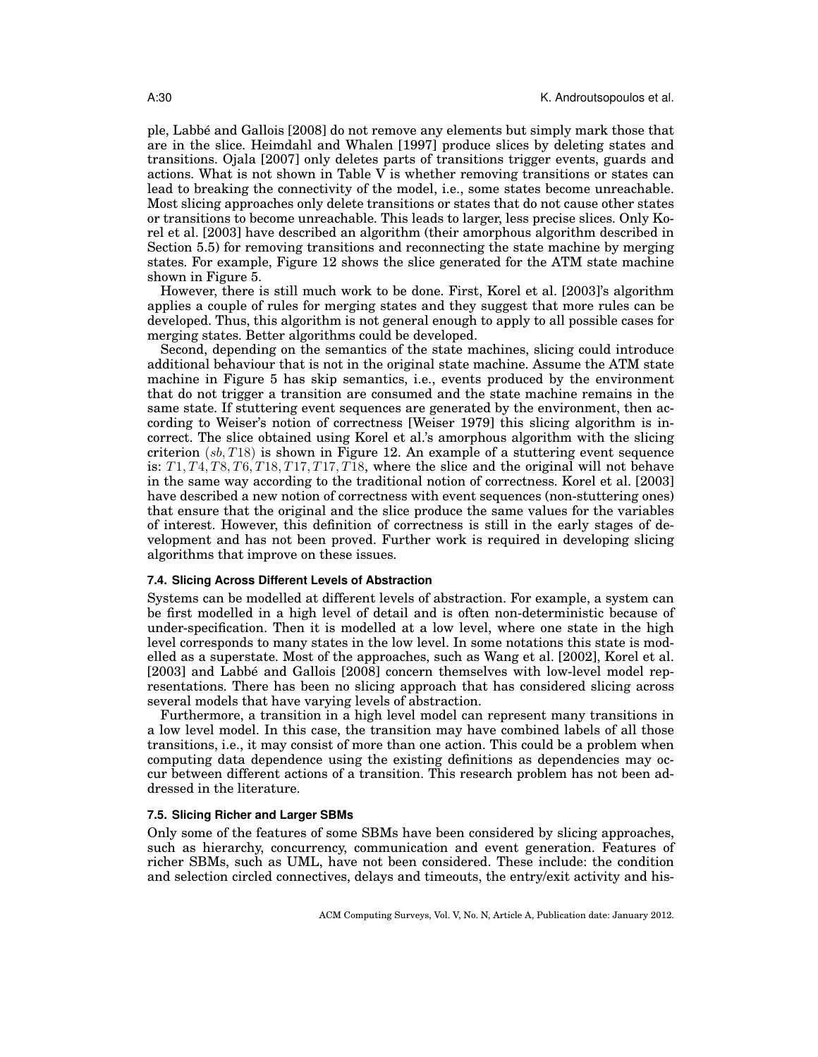ple, Labbe and Gallois [2008] do not remove any elements but simply mark those that ´ are in the slice. Heimdahl and Whalen [1997] produce slices by deleting states and transitions. Ojala [2007] only deletes parts of transitions trigger events, guards and actions. What is not shown in Table V is whether removing transitions or states can lead to breaking the connectivity of the model, i.e., some states become unreachable. Most slicing approaches only delete transitions or states that do not cause other states or transitions to become unreachable. This leads to larger, less precise slices. Only Korel et al. [2003] have described an algorithm (their amorphous algorithm described in Section 5.5) for removing transitions and reconnecting the state machine by merging states. For example, Figure 12 shows the slice generated for the ATM state machine shown in Figure 5.

However, there is still much work to be done. First, Korel et al. [2003]'s algorithm applies a couple of rules for merging states and they suggest that more rules can be developed. Thus, this algorithm is not general enough to apply to all possible cases for merging states. Better algorithms could be developed.

Second, depending on the semantics of the state machines, slicing could introduce additional behaviour that is not in the original state machine. Assume the ATM state machine in Figure 5 has skip semantics, i.e., events produced by the environment that do not trigger a transition are consumed and the state machine remains in the same state. If stuttering event sequences are generated by the environment, then according to Weiser's notion of correctness [Weiser 1979] this slicing algorithm is incorrect. The slice obtained using Korel et al.'s amorphous algorithm with the slicing criterion  $(s, T18)$  is shown in Figure 12. An example of a stuttering event sequence is:  $T1, T4, T8, T6, T18, T17, T17, T18$ , where the slice and the original will not behave in the same way according to the traditional notion of correctness. Korel et al. [2003] have described a new notion of correctness with event sequences (non-stuttering ones) that ensure that the original and the slice produce the same values for the variables of interest. However, this definition of correctness is still in the early stages of development and has not been proved. Further work is required in developing slicing algorithms that improve on these issues.

### **7.4. Slicing Across Different Levels of Abstraction**

Systems can be modelled at different levels of abstraction. For example, a system can be first modelled in a high level of detail and is often non-deterministic because of under-specification. Then it is modelled at a low level, where one state in the high level corresponds to many states in the low level. In some notations this state is modelled as a superstate. Most of the approaches, such as Wang et al. [2002], Korel et al. [2003] and Labbé and Gallois [2008] concern themselves with low-level model representations. There has been no slicing approach that has considered slicing across several models that have varying levels of abstraction.

Furthermore, a transition in a high level model can represent many transitions in a low level model. In this case, the transition may have combined labels of all those transitions, i.e., it may consist of more than one action. This could be a problem when computing data dependence using the existing definitions as dependencies may occur between different actions of a transition. This research problem has not been addressed in the literature.

### **7.5. Slicing Richer and Larger SBMs**

Only some of the features of some SBMs have been considered by slicing approaches, such as hierarchy, concurrency, communication and event generation. Features of richer SBMs, such as UML, have not been considered. These include: the condition and selection circled connectives, delays and timeouts, the entry/exit activity and his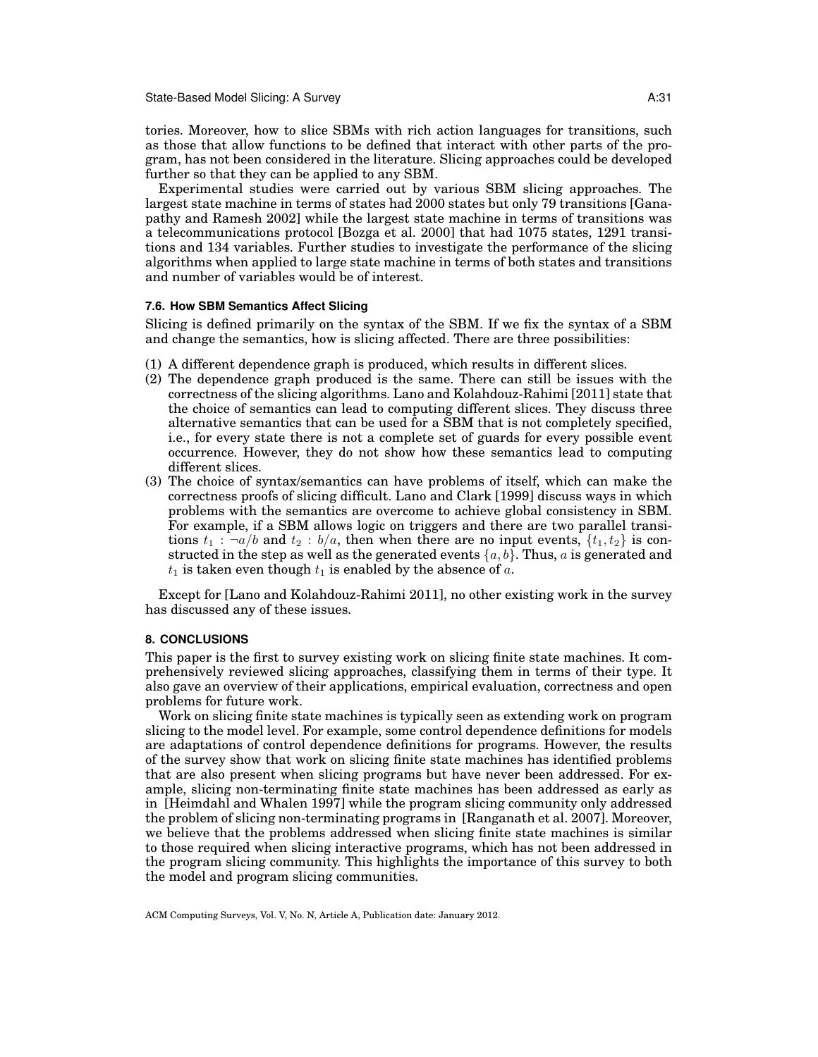State-Based Model Slicing: A Survey A:31

tories. Moreover, how to slice SBMs with rich action languages for transitions, such as those that allow functions to be defined that interact with other parts of the program, has not been considered in the literature. Slicing approaches could be developed further so that they can be applied to any SBM.

Experimental studies were carried out by various SBM slicing approaches. The largest state machine in terms of states had 2000 states but only 79 transitions [Ganapathy and Ramesh 2002] while the largest state machine in terms of transitions was a telecommunications protocol [Bozga et al. 2000] that had 1075 states, 1291 transitions and 134 variables. Further studies to investigate the performance of the slicing algorithms when applied to large state machine in terms of both states and transitions and number of variables would be of interest.

### **7.6. How SBM Semantics Affect Slicing**

Slicing is defined primarily on the syntax of the SBM. If we fix the syntax of a SBM and change the semantics, how is slicing affected. There are three possibilities:

- (1) A different dependence graph is produced, which results in different slices.
- (2) The dependence graph produced is the same. There can still be issues with the correctness of the slicing algorithms. Lano and Kolahdouz-Rahimi [2011] state that the choice of semantics can lead to computing different slices. They discuss three alternative semantics that can be used for a SBM that is not completely specified, i.e., for every state there is not a complete set of guards for every possible event occurrence. However, they do not show how these semantics lead to computing different slices.
- (3) The choice of syntax/semantics can have problems of itself, which can make the correctness proofs of slicing difficult. Lano and Clark [1999] discuss ways in which problems with the semantics are overcome to achieve global consistency in SBM. For example, if a SBM allows logic on triggers and there are two parallel transitions  $t_1$ :  $\neg a/b$  and  $t_2$ :  $b/a$ , then when there are no input events,  $\{t_1, t_2\}$  is constructed in the step as well as the generated events  $\{a, b\}$ . Thus, a is generated and  $t_1$  is taken even though  $t_1$  is enabled by the absence of a.

Except for [Lano and Kolahdouz-Rahimi 2011], no other existing work in the survey has discussed any of these issues.

# **8. CONCLUSIONS**

This paper is the first to survey existing work on slicing finite state machines. It comprehensively reviewed slicing approaches, classifying them in terms of their type. It also gave an overview of their applications, empirical evaluation, correctness and open problems for future work.

Work on slicing finite state machines is typically seen as extending work on program slicing to the model level. For example, some control dependence definitions for models are adaptations of control dependence definitions for programs. However, the results of the survey show that work on slicing finite state machines has identified problems that are also present when slicing programs but have never been addressed. For example, slicing non-terminating finite state machines has been addressed as early as in [Heimdahl and Whalen 1997] while the program slicing community only addressed the problem of slicing non-terminating programs in [Ranganath et al. 2007]. Moreover, we believe that the problems addressed when slicing finite state machines is similar to those required when slicing interactive programs, which has not been addressed in the program slicing community. This highlights the importance of this survey to both the model and program slicing communities.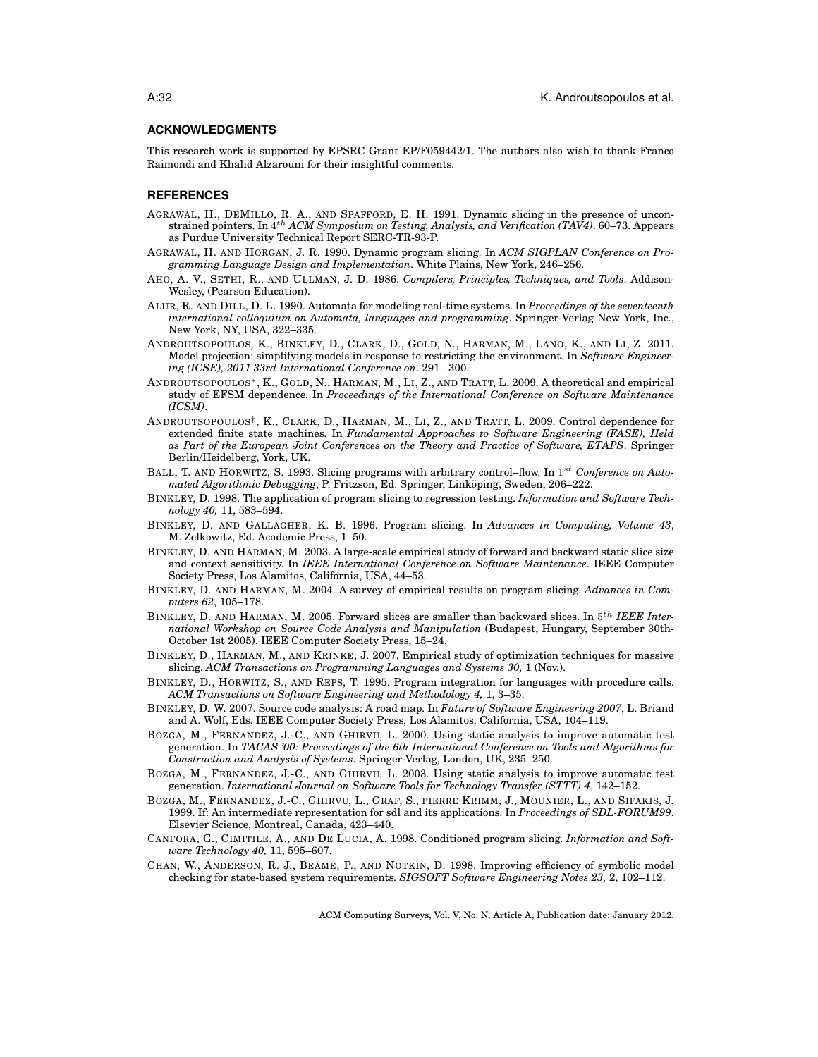#### **ACKNOWLEDGMENTS**

This research work is supported by EPSRC Grant EP/F059442/1. The authors also wish to thank Franco Raimondi and Khalid Alzarouni for their insightful comments.

#### **REFERENCES**

- AGRAWAL, H., DEMILLO, R. A., AND SPAFFORD, E. H. 1991. Dynamic slicing in the presence of unconstrained pointers. In 4<sup>th</sup> ACM Symposium on Testing, Analysis, and Verification (TAV4). 60–73. Appears as Purdue University Technical Report SERC-TR-93-P.
- AGRAWAL, H. AND HORGAN, J. R. 1990. Dynamic program slicing. In *ACM SIGPLAN Conference on Programming Language Design and Implementation*. White Plains, New York, 246–256.
- AHO, A. V., SETHI, R., AND ULLMAN, J. D. 1986. *Compilers, Principles, Techniques, and Tools*. Addison-Wesley, (Pearson Education).
- ALUR, R. AND DILL, D. L. 1990. Automata for modeling real-time systems. In *Proceedings of the seventeenth international colloquium on Automata, languages and programming*. Springer-Verlag New York, Inc., New York, NY, USA, 322–335.
- ANDROUTSOPOULOS, K., BINKLEY, D., CLARK, D., GOLD, N., HARMAN, M., LANO, K., AND LI, Z. 2011. Model projection: simplifying models in response to restricting the environment. In *Software Engineering (ICSE), 2011 33rd International Conference on*. 291 –300.
- ANDROUTSOPOULOS∗, K., GOLD, N., HARMAN, M., LI, Z., AND TRATT, L. 2009. A theoretical and empirical study of EFSM dependence. In *Proceedings of the International Conference on Software Maintenance (ICSM)*.
- ANDROUTSOPOULOS† , K., CLARK, D., HARMAN, M., LI, Z., AND TRATT, L. 2009. Control dependence for extended finite state machines. In *Fundamental Approaches to Software Engineering (FASE), Held as Part of the European Joint Conferences on the Theory and Practice of Software, ETAPS*. Springer Berlin/Heidelberg, York, UK.
- BALL, T. AND HORWITZ, S. 1993. Slicing programs with arbitrary control–flow. In 1 st *Conference on Automated Algorithmic Debugging*, P. Fritzson, Ed. Springer, Linkoping, Sweden, 206–222. ¨
- BINKLEY, D. 1998. The application of program slicing to regression testing. *Information and Software Technology 40,* 11, 583–594.
- BINKLEY, D. AND GALLAGHER, K. B. 1996. Program slicing. In *Advances in Computing, Volume 43*, M. Zelkowitz, Ed. Academic Press, 1–50.
- BINKLEY, D. AND HARMAN, M. 2003. A large-scale empirical study of forward and backward static slice size and context sensitivity. In *IEEE International Conference on Software Maintenance*. IEEE Computer Society Press, Los Alamitos, California, USA, 44–53.
- BINKLEY, D. AND HARMAN, M. 2004. A survey of empirical results on program slicing. *Advances in Computers 62*, 105–178.
- BINKLEY, D. AND HARMAN, M. 2005. Forward slices are smaller than backward slices. In 5<sup>th</sup> IEEE Inter*national Workshop on Source Code Analysis and Manipulation* (Budapest, Hungary, September 30th-October 1st 2005). IEEE Computer Society Press, 15–24.
- BINKLEY, D., HARMAN, M., AND KRINKE, J. 2007. Empirical study of optimization techniques for massive slicing. *ACM Transactions on Programming Languages and Systems 30,* 1 (Nov.).
- BINKLEY, D., HORWITZ, S., AND REPS, T. 1995. Program integration for languages with procedure calls. *ACM Transactions on Software Engineering and Methodology 4,* 1, 3–35.
- BINKLEY, D. W. 2007. Source code analysis: A road map. In *Future of Software Engineering 2007*, L. Briand and A. Wolf, Eds. IEEE Computer Society Press, Los Alamitos, California, USA, 104–119.
- BOZGA, M., FERNANDEZ, J.-C., AND GHIRVU, L. 2000. Using static analysis to improve automatic test generation. In *TACAS '00: Proceedings of the 6th International Conference on Tools and Algorithms for Construction and Analysis of Systems*. Springer-Verlag, London, UK, 235–250.
- BOZGA, M., FERNANDEZ, J.-C., AND GHIRVU, L. 2003. Using static analysis to improve automatic test generation. *International Journal on Software Tools for Technology Transfer (STTT) 4*, 142–152.
- BOZGA, M., FERNANDEZ, J.-C., GHIRVU, L., GRAF, S., PIERRE KRIMM, J., MOUNIER, L., AND SIFAKIS, J. 1999. If: An intermediate representation for sdl and its applications. In *Proceedings of SDL-FORUM99*. Elsevier Science, Montreal, Canada, 423–440.
- CANFORA, G., CIMITILE, A., AND DE LUCIA, A. 1998. Conditioned program slicing. *Information and Software Technology 40,* 11, 595–607.
- CHAN, W., ANDERSON, R. J., BEAME, P., AND NOTKIN, D. 1998. Improving efficiency of symbolic model checking for state-based system requirements. *SIGSOFT Software Engineering Notes 23,* 2, 102–112.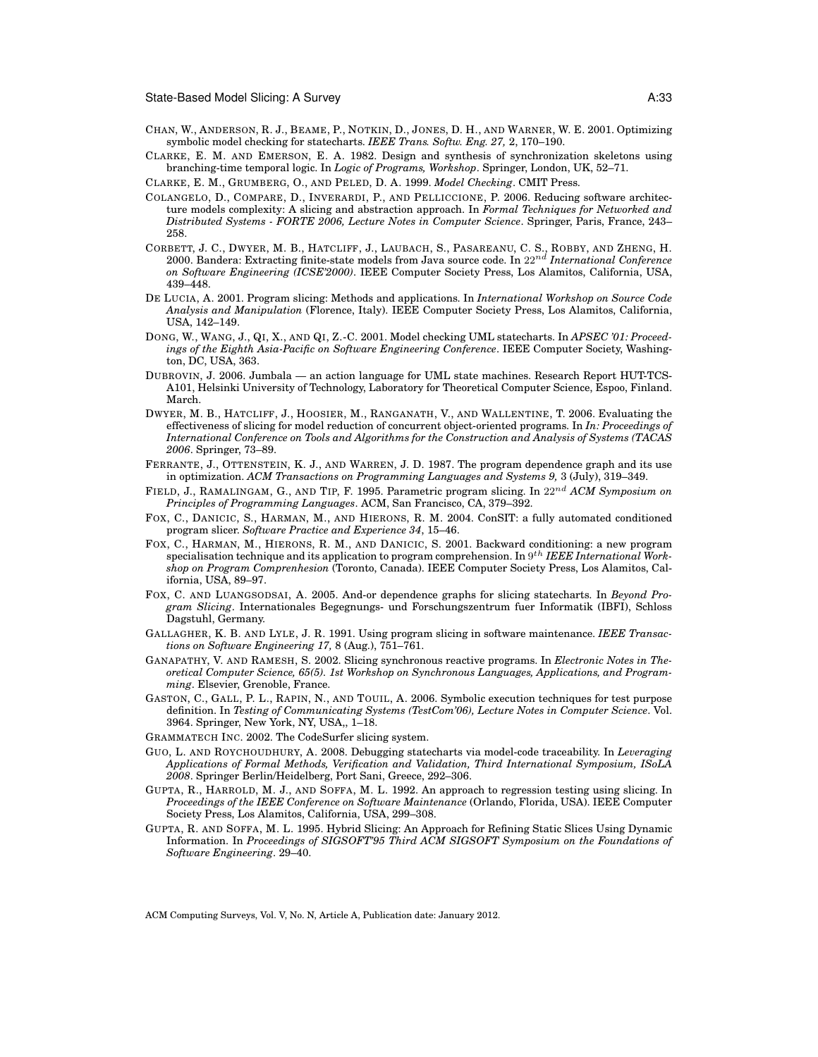- CHAN, W., ANDERSON, R. J., BEAME, P., NOTKIN, D., JONES, D. H., AND WARNER, W. E. 2001. Optimizing symbolic model checking for statecharts. *IEEE Trans. Softw. Eng. 27,* 2, 170–190.
- CLARKE, E. M. AND EMERSON, E. A. 1982. Design and synthesis of synchronization skeletons using branching-time temporal logic. In *Logic of Programs, Workshop*. Springer, London, UK, 52–71.
- CLARKE, E. M., GRUMBERG, O., AND PELED, D. A. 1999. *Model Checking*. CMIT Press.
- COLANGELO, D., COMPARE, D., INVERARDI, P., AND PELLICCIONE, P. 2006. Reducing software architecture models complexity: A slicing and abstraction approach. In *Formal Techniques for Networked and Distributed Systems - FORTE 2006, Lecture Notes in Computer Science*. Springer, Paris, France, 243– 258.
- CORBETT, J. C., DWYER, M. B., HATCLIFF, J., LAUBACH, S., PASAREANU, C. S., ROBBY, AND ZHENG, H. 2000. Bandera: Extracting finite-state models from Java source code. In 22nd *International Conference on Software Engineering (ICSE'2000)*. IEEE Computer Society Press, Los Alamitos, California, USA, 439–448.
- DE LUCIA, A. 2001. Program slicing: Methods and applications. In *International Workshop on Source Code Analysis and Manipulation* (Florence, Italy). IEEE Computer Society Press, Los Alamitos, California, USA, 142–149.
- DONG, W., WANG, J., QI, X., AND QI, Z.-C. 2001. Model checking UML statecharts. In *APSEC '01: Proceedings of the Eighth Asia-Pacific on Software Engineering Conference*. IEEE Computer Society, Washington, DC, USA, 363.
- DUBROVIN, J. 2006. Jumbala an action language for UML state machines. Research Report HUT-TCS-A101, Helsinki University of Technology, Laboratory for Theoretical Computer Science, Espoo, Finland. March.
- DWYER, M. B., HATCLIFF, J., HOOSIER, M., RANGANATH, V., AND WALLENTINE, T. 2006. Evaluating the effectiveness of slicing for model reduction of concurrent object-oriented programs. In *In: Proceedings of International Conference on Tools and Algorithms for the Construction and Analysis of Systems (TACAS 2006*. Springer, 73–89.
- FERRANTE, J., OTTENSTEIN, K. J., AND WARREN, J. D. 1987. The program dependence graph and its use in optimization. *ACM Transactions on Programming Languages and Systems 9,* 3 (July), 319–349.
- FIELD, J., RAMALINGAM, G., AND TIP, F. 1995. Parametric program slicing. In 22nd *ACM Symposium on Principles of Programming Languages*. ACM, San Francisco, CA, 379–392.
- FOX, C., DANICIC, S., HARMAN, M., AND HIERONS, R. M. 2004. ConSIT: a fully automated conditioned program slicer. *Software Practice and Experience 34*, 15–46.
- FOX, C., HARMAN, M., HIERONS, R. M., AND DANICIC, S. 2001. Backward conditioning: a new program specialisation technique and its application to program comprehension. In 9<sup>th</sup> IEEE International Work*shop on Program Comprenhesion* (Toronto, Canada). IEEE Computer Society Press, Los Alamitos, California, USA, 89–97.
- FOX, C. AND LUANGSODSAI, A. 2005. And-or dependence graphs for slicing statecharts. In *Beyond Program Slicing*. Internationales Begegnungs- und Forschungszentrum fuer Informatik (IBFI), Schloss Dagstuhl, Germany.
- GALLAGHER, K. B. AND LYLE, J. R. 1991. Using program slicing in software maintenance. *IEEE Transactions on Software Engineering 17,* 8 (Aug.), 751–761.
- GANAPATHY, V. AND RAMESH, S. 2002. Slicing synchronous reactive programs. In *Electronic Notes in Theoretical Computer Science, 65(5). 1st Workshop on Synchronous Languages, Applications, and Programming*. Elsevier, Grenoble, France.
- GASTON, C., GALL, P. L., RAPIN, N., AND TOUIL, A. 2006. Symbolic execution techniques for test purpose definition. In *Testing of Communicating Systems (TestCom'06), Lecture Notes in Computer Science*. Vol. 3964. Springer, New York, NY, USA,, 1–18.
- GRAMMATECH INC. 2002. The CodeSurfer slicing system.
- GUO, L. AND ROYCHOUDHURY, A. 2008. Debugging statecharts via model-code traceability. In *Leveraging Applications of Formal Methods, Verification and Validation, Third International Symposium, ISoLA 2008*. Springer Berlin/Heidelberg, Port Sani, Greece, 292–306.
- GUPTA, R., HARROLD, M. J., AND SOFFA, M. L. 1992. An approach to regression testing using slicing. In *Proceedings of the IEEE Conference on Software Maintenance* (Orlando, Florida, USA). IEEE Computer Society Press, Los Alamitos, California, USA, 299–308.
- GUPTA, R. AND SOFFA, M. L. 1995. Hybrid Slicing: An Approach for Refining Static Slices Using Dynamic Information. In *Proceedings of SIGSOFT'95 Third ACM SIGSOFT Symposium on the Foundations of Software Engineering*. 29–40.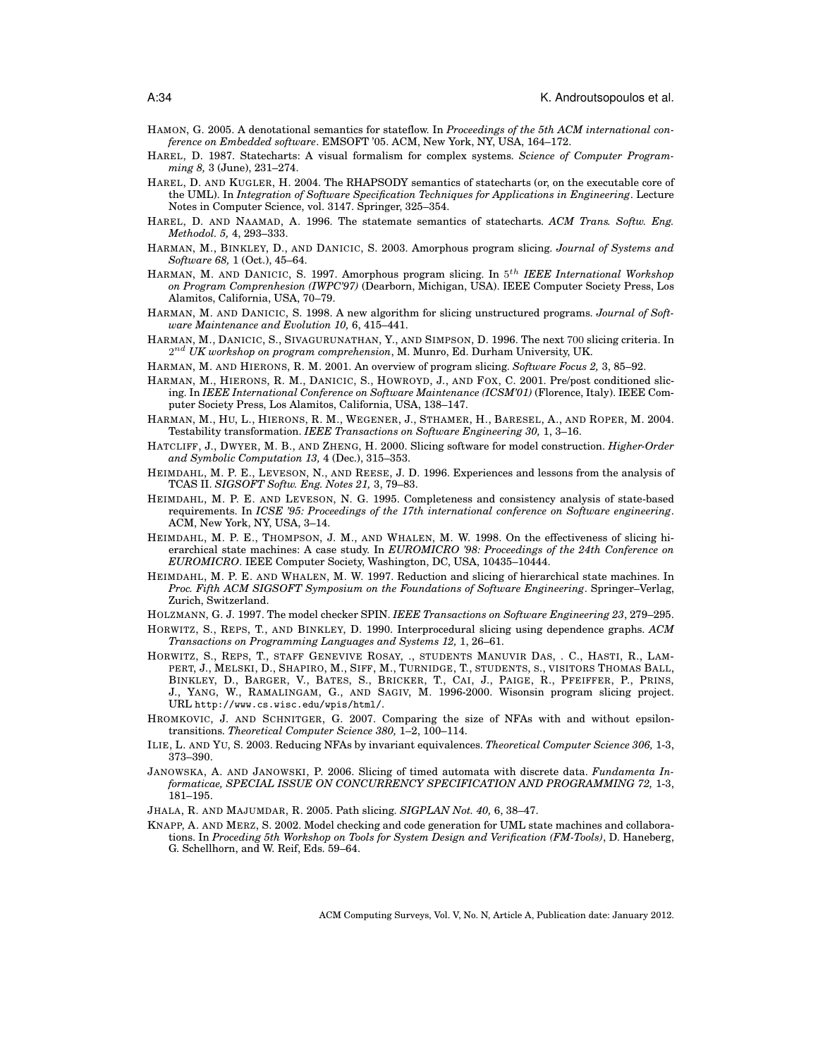- HAMON, G. 2005. A denotational semantics for stateflow. In *Proceedings of the 5th ACM international conference on Embedded software*. EMSOFT '05. ACM, New York, NY, USA, 164–172.
- HAREL, D. 1987. Statecharts: A visual formalism for complex systems. *Science of Computer Programming 8,* 3 (June), 231–274.
- HAREL, D. AND KUGLER, H. 2004. The RHAPSODY semantics of statecharts (or, on the executable core of the UML). In *Integration of Software Specification Techniques for Applications in Engineering*. Lecture Notes in Computer Science, vol. 3147. Springer, 325–354.
- HAREL, D. AND NAAMAD, A. 1996. The statemate semantics of statecharts. *ACM Trans. Softw. Eng. Methodol. 5,* 4, 293–333.
- HARMAN, M., BINKLEY, D., AND DANICIC, S. 2003. Amorphous program slicing. *Journal of Systems and Software 68,* 1 (Oct.), 45–64.
- HARMAN, M. AND DANICIC, S. 1997. Amorphous program slicing. In 5 th *IEEE International Workshop on Program Comprenhesion (IWPC'97)* (Dearborn, Michigan, USA). IEEE Computer Society Press, Los Alamitos, California, USA, 70–79.
- HARMAN, M. AND DANICIC, S. 1998. A new algorithm for slicing unstructured programs. *Journal of Software Maintenance and Evolution 10,* 6, 415–441.
- HARMAN, M., DANICIC, S., SIVAGURUNATHAN, Y., AND SIMPSON, D. 1996. The next 700 slicing criteria. In 2 nd *UK workshop on program comprehension*, M. Munro, Ed. Durham University, UK.
- HARMAN, M. AND HIERONS, R. M. 2001. An overview of program slicing. *Software Focus 2,* 3, 85–92.
- HARMAN, M., HIERONS, R. M., DANICIC, S., HOWROYD, J., AND FOX, C. 2001. Pre/post conditioned slicing. In *IEEE International Conference on Software Maintenance (ICSM'01)* (Florence, Italy). IEEE Computer Society Press, Los Alamitos, California, USA, 138–147.
- HARMAN, M., HU, L., HIERONS, R. M., WEGENER, J., STHAMER, H., BARESEL, A., AND ROPER, M. 2004. Testability transformation. *IEEE Transactions on Software Engineering 30,* 1, 3–16.
- HATCLIFF, J., DWYER, M. B., AND ZHENG, H. 2000. Slicing software for model construction. *Higher-Order and Symbolic Computation 13,* 4 (Dec.), 315–353.
- HEIMDAHL, M. P. E., LEVESON, N., AND REESE, J. D. 1996. Experiences and lessons from the analysis of TCAS II. *SIGSOFT Softw. Eng. Notes 21,* 3, 79–83.
- HEIMDAHL, M. P. E. AND LEVESON, N. G. 1995. Completeness and consistency analysis of state-based requirements. In *ICSE '95: Proceedings of the 17th international conference on Software engineering*. ACM, New York, NY, USA, 3–14.
- HEIMDAHL, M. P. E., THOMPSON, J. M., AND WHALEN, M. W. 1998. On the effectiveness of slicing hierarchical state machines: A case study. In *EUROMICRO '98: Proceedings of the 24th Conference on EUROMICRO*. IEEE Computer Society, Washington, DC, USA, 10435–10444.
- HEIMDAHL, M. P. E. AND WHALEN, M. W. 1997. Reduction and slicing of hierarchical state machines. In *Proc. Fifth ACM SIGSOFT Symposium on the Foundations of Software Engineering*. Springer–Verlag, Zurich, Switzerland.
- HOLZMANN, G. J. 1997. The model checker SPIN. *IEEE Transactions on Software Engineering 23*, 279–295.
- HORWITZ, S., REPS, T., AND BINKLEY, D. 1990. Interprocedural slicing using dependence graphs. *ACM Transactions on Programming Languages and Systems 12,* 1, 26–61.
- HORWITZ, S., REPS, T., STAFF GENEVIVE ROSAY, ., STUDENTS MANUVIR DAS, . C., HASTI, R., LAM-PERT, J., MELSKI, D., SHAPIRO, M., SIFF, M., TURNIDGE, T., STUDENTS, S., VISITORS THOMAS BALL, BINKLEY, D., BARGER, V., BATES, S., BRICKER, T., CAI, J., PAIGE, R., PFEIFFER, P., PRINS, J., YANG, W., RAMALINGAM, G., AND SAGIV, M. 1996-2000. Wisonsin program slicing project. URL http://www.cs.wisc.edu/wpis/html/.
- HROMKOVIC, J. AND SCHNITGER, G. 2007. Comparing the size of NFAs with and without epsilontransitions. *Theoretical Computer Science 380,* 1–2, 100–114.
- ILIE, L. AND YU, S. 2003. Reducing NFAs by invariant equivalences. *Theoretical Computer Science 306,* 1-3, 373–390.
- JANOWSKA, A. AND JANOWSKI, P. 2006. Slicing of timed automata with discrete data. *Fundamenta Informaticae, SPECIAL ISSUE ON CONCURRENCY SPECIFICATION AND PROGRAMMING 72,* 1-3, 181–195.
- JHALA, R. AND MAJUMDAR, R. 2005. Path slicing. *SIGPLAN Not. 40,* 6, 38–47.
- KNAPP, A. AND MERZ, S. 2002. Model checking and code generation for UML state machines and collaborations. In *Proceding 5th Workshop on Tools for System Design and Verification (FM-Tools)*, D. Haneberg, G. Schellhorn, and W. Reif, Eds. 59–64.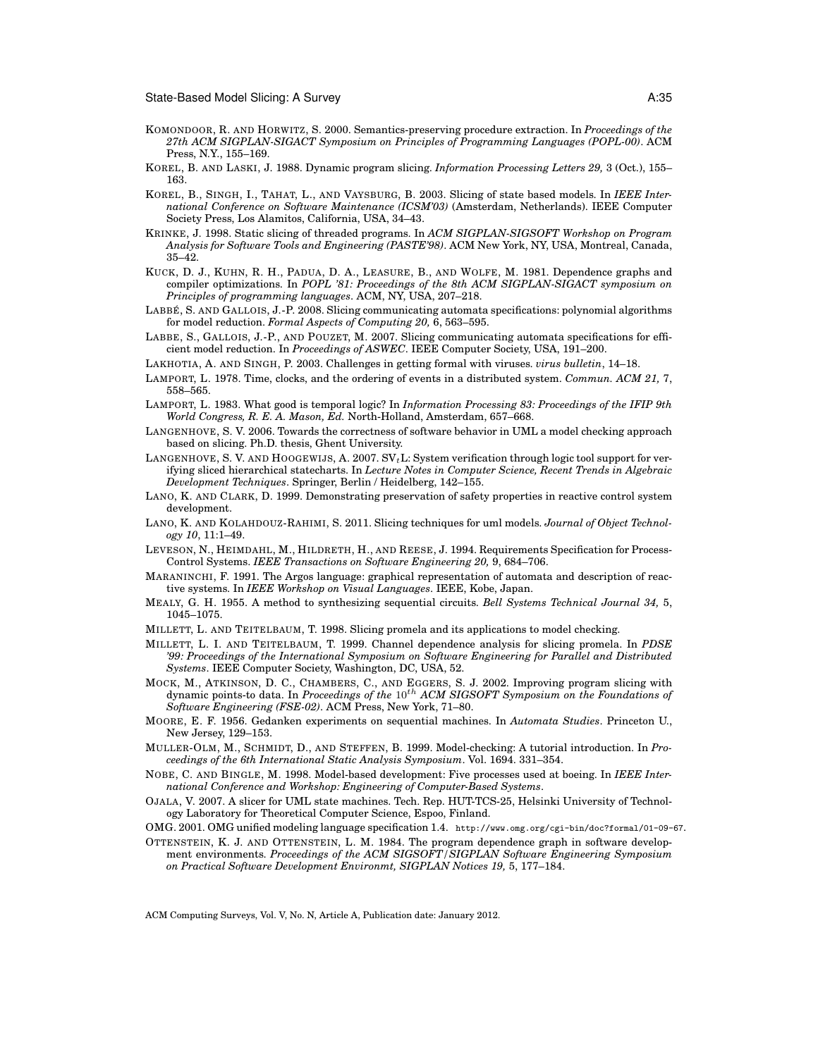- KOMONDOOR, R. AND HORWITZ, S. 2000. Semantics-preserving procedure extraction. In *Proceedings of the 27th ACM SIGPLAN-SIGACT Symposium on Principles of Programming Languages (POPL-00)*. ACM Press, N.Y., 155–169.
- KOREL, B. AND LASKI, J. 1988. Dynamic program slicing. *Information Processing Letters 29,* 3 (Oct.), 155– 163.
- KOREL, B., SINGH, I., TAHAT, L., AND VAYSBURG, B. 2003. Slicing of state based models. In *IEEE International Conference on Software Maintenance (ICSM'03)* (Amsterdam, Netherlands). IEEE Computer Society Press, Los Alamitos, California, USA, 34–43.
- KRINKE, J. 1998. Static slicing of threaded programs. In *ACM SIGPLAN-SIGSOFT Workshop on Program Analysis for Software Tools and Engineering (PASTE'98)*. ACM New York, NY, USA, Montreal, Canada, 35–42.
- KUCK, D. J., KUHN, R. H., PADUA, D. A., LEASURE, B., AND WOLFE, M. 1981. Dependence graphs and compiler optimizations. In *POPL '81: Proceedings of the 8th ACM SIGPLAN-SIGACT symposium on Principles of programming languages*. ACM, NY, USA, 207–218.
- LABBÉ, S. AND GALLOIS, J.-P. 2008. Slicing communicating automata specifications: polynomial algorithms for model reduction. *Formal Aspects of Computing 20,* 6, 563–595.
- LABBE, S., GALLOIS, J.-P., AND POUZET, M. 2007. Slicing communicating automata specifications for efficient model reduction. In *Proceedings of ASWEC*. IEEE Computer Society, USA, 191–200.
- LAKHOTIA, A. AND SINGH, P. 2003. Challenges in getting formal with viruses. *virus bulletin*, 14–18.
- LAMPORT, L. 1978. Time, clocks, and the ordering of events in a distributed system. *Commun. ACM 21,* 7, 558–565.
- LAMPORT, L. 1983. What good is temporal logic? In *Information Processing 83: Proceedings of the IFIP 9th World Congress, R. E. A. Mason, Ed.* North-Holland, Amsterdam, 657–668.
- LANGENHOVE, S. V. 2006. Towards the correctness of software behavior in UML a model checking approach based on slicing. Ph.D. thesis, Ghent University.
- LANGENHOVE, S. V. AND HOOGEWIJS, A. 2007.  $SV_tL$ : System verification through logic tool support for verifying sliced hierarchical statecharts. In *Lecture Notes in Computer Science, Recent Trends in Algebraic Development Techniques*. Springer, Berlin / Heidelberg, 142–155.
- LANO, K. AND CLARK, D. 1999. Demonstrating preservation of safety properties in reactive control system development.
- LANO, K. AND KOLAHDOUZ-RAHIMI, S. 2011. Slicing techniques for uml models. *Journal of Object Technology 10*, 11:1–49.
- LEVESON, N., HEIMDAHL, M., HILDRETH, H., AND REESE, J. 1994. Requirements Specification for Process-Control Systems. *IEEE Transactions on Software Engineering 20,* 9, 684–706.
- MARANINCHI, F. 1991. The Argos language: graphical representation of automata and description of reactive systems. In *IEEE Workshop on Visual Languages*. IEEE, Kobe, Japan.
- MEALY, G. H. 1955. A method to synthesizing sequential circuits. *Bell Systems Technical Journal 34,* 5, 1045–1075.
- MILLETT, L. AND TEITELBAUM, T. 1998. Slicing promela and its applications to model checking.
- MILLETT, L. I. AND TEITELBAUM, T. 1999. Channel dependence analysis for slicing promela. In *PDSE '99: Proceedings of the International Symposium on Software Engineering for Parallel and Distributed Systems*. IEEE Computer Society, Washington, DC, USA, 52.
- MOCK, M., ATKINSON, D. C., CHAMBERS, C., AND EGGERS, S. J. 2002. Improving program slicing with dynamic points-to data. In *Proceedings of the* 10th *ACM SIGSOFT Symposium on the Foundations of Software Engineering (FSE-02)*. ACM Press, New York, 71–80.
- MOORE, E. F. 1956. Gedanken experiments on sequential machines. In *Automata Studies*. Princeton U., New Jersey, 129–153.
- MULLER-OLM, M., SCHMIDT, D., AND STEFFEN, B. 1999. Model-checking: A tutorial introduction. In *Proceedings of the 6th International Static Analysis Symposium*. Vol. 1694. 331–354.
- NOBE, C. AND BINGLE, M. 1998. Model-based development: Five processes used at boeing. In *IEEE International Conference and Workshop: Engineering of Computer-Based Systems*.
- OJALA, V. 2007. A slicer for UML state machines. Tech. Rep. HUT-TCS-25, Helsinki University of Technology Laboratory for Theoretical Computer Science, Espoo, Finland.
- OMG. 2001. OMG unified modeling language specification 1.4. http://www.omg.org/cgi-bin/doc?formal/01-09-67.
- OTTENSTEIN, K. J. AND OTTENSTEIN, L. M. 1984. The program dependence graph in software development environments. *Proceedings of the ACM SIGSOFT/SIGPLAN Software Engineering Symposium on Practical Software Development Environmt, SIGPLAN Notices 19,* 5, 177–184.